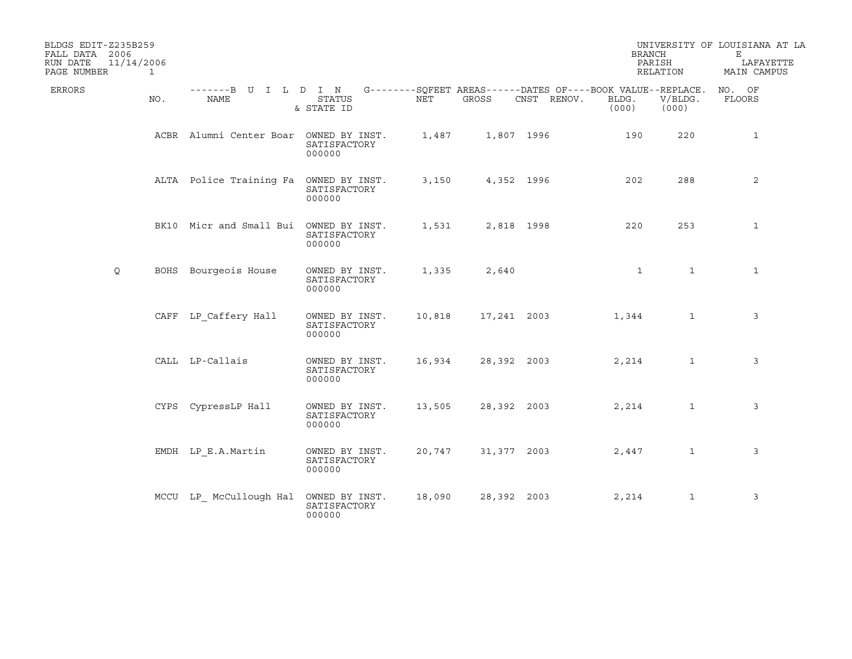| BLDGS EDIT-Z235B259<br>FALL DATA 2006 |     |                                        |                                          |        |             |                                                                                   | <b>BRANCH</b>  |                  | UNIVERSITY OF LOUISIANA AT LA<br>E. |
|---------------------------------------|-----|----------------------------------------|------------------------------------------|--------|-------------|-----------------------------------------------------------------------------------|----------------|------------------|-------------------------------------|
| 11/14/2006<br>RUN DATE<br>PAGE NUMBER | 1   |                                        |                                          |        |             |                                                                                   | PARISH         | RELATION         | LAFAYETTE<br>MAIN CAMPUS            |
| ERRORS                                | NO. | -------B U I L D I N<br><b>NAME</b>    | <b>STATUS</b><br>& STATE ID              | NET    | GROSS       | G--------SOFEET AREAS------DATES OF----BOOK VALUE--REPLACE. NO. OF<br>CNST RENOV. | BLDG.<br>(000) | V/BLDG.<br>(000) | FLOORS                              |
|                                       |     | ACBR Alumni Center Boar OWNED BY INST. | SATISFACTORY<br>000000                   | 1,487  |             | 1,807 1996                                                                        | 190            | 220              | $\mathbf{1}$                        |
|                                       |     | ALTA Police Training Fa OWNED BY INST. | SATISFACTORY<br>000000                   | 3,150  |             | 4,352 1996                                                                        | 202            | 288              | 2                                   |
|                                       |     | BK10 Micr and Small Bui OWNED BY INST. | SATISFACTORY<br>000000                   | 1,531  |             | 2,818 1998                                                                        | 220            | 253              | $\mathbf{1}$                        |
| Q                                     |     | BOHS Bourgeois House                   | OWNED BY INST.<br>SATISFACTORY<br>000000 | 1,335  | 2,640       |                                                                                   | $\mathbf{1}$   | $\mathbf{1}$     | $\mathbf{1}$                        |
|                                       |     | CAFF LP Caffery Hall                   | OWNED BY INST.<br>SATISFACTORY<br>000000 | 10,818 | 17,241 2003 |                                                                                   | 1,344          | $\mathbf{1}$     | 3                                   |
|                                       |     | CALL LP-Callais                        | OWNED BY INST.<br>SATISFACTORY<br>000000 | 16,934 | 28,392 2003 |                                                                                   | 2,214          | $\mathbf{1}$     | 3                                   |
|                                       |     | CYPS CypressLP Hall                    | OWNED BY INST.<br>SATISFACTORY<br>000000 | 13,505 | 28,392 2003 |                                                                                   | 2,214          | $\mathbf{1}$     | 3                                   |
|                                       |     | EMDH LP E.A.Martin                     | OWNED BY INST.<br>SATISFACTORY<br>000000 | 20,747 | 31,377 2003 |                                                                                   | 2,447          | $\mathbf{1}$     | 3                                   |
|                                       |     | MCCU LP McCullough Hal                 | OWNED BY INST.<br>SATISFACTORY<br>000000 | 18,090 | 28,392 2003 |                                                                                   | 2,214          | $\mathbf{1}$     | 3                                   |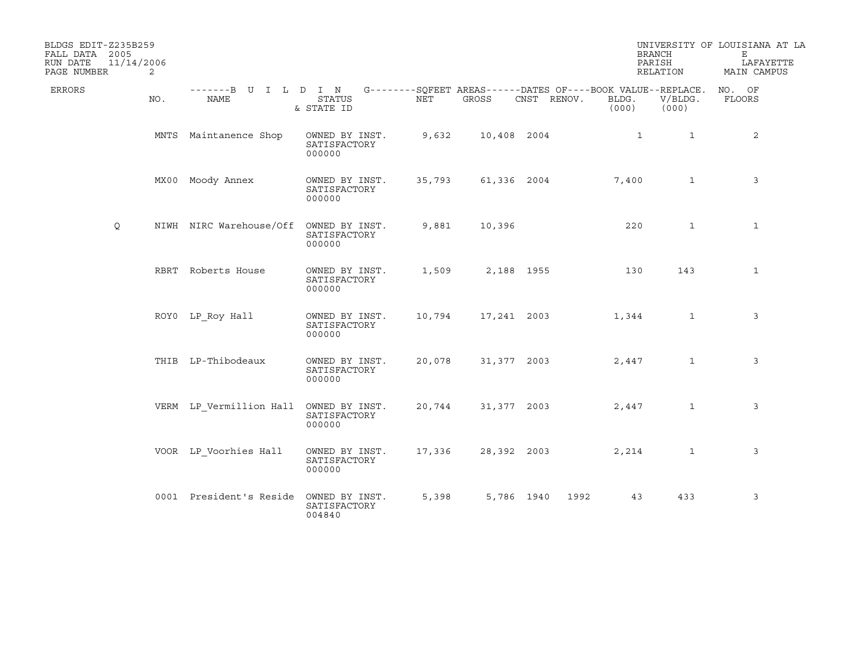| BLDGS EDIT-Z235B259<br>FALL DATA 2005<br>11/14/2006<br>RUN DATE |     |                                        |                                          |        |             |             |                | <b>BRANCH</b><br>PARISH                                                         | UNIVERSITY OF LOUISIANA AT LA<br>Е<br>LAFAYETTE |
|-----------------------------------------------------------------|-----|----------------------------------------|------------------------------------------|--------|-------------|-------------|----------------|---------------------------------------------------------------------------------|-------------------------------------------------|
| PAGE NUMBER                                                     | 2   |                                        |                                          |        |             |             |                | RELATION                                                                        | MAIN CAMPUS                                     |
| <b>ERRORS</b>                                                   | NO. | -------B U I L D I N<br>NAME           | STATUS<br>& STATE ID                     | NET    | GROSS       | CNST RENOV. | BLDG.<br>(000) | G--------SQFEET AREAS------DATES OF----BOOK VALUE--REPLACE.<br>V/BLDG.<br>(000) | NO. OF<br>FLOORS                                |
|                                                                 |     | MNTS Maintanence Shop                  | OWNED BY INST.<br>SATISFACTORY<br>000000 | 9,632  | 10,408 2004 |             |                | 1<br>$\mathbf{1}$                                                               | 2                                               |
|                                                                 |     | MX00 Moody Annex                       | OWNED BY INST.<br>SATISFACTORY<br>000000 | 35,793 |             | 61,336 2004 | 7,400          | $\mathbf{1}$                                                                    | 3                                               |
| Q                                                               |     | NIWH NIRC Warehouse/Off                | OWNED BY INST.<br>SATISFACTORY<br>000000 | 9,881  | 10,396      |             | 220            | $\mathbf{1}$                                                                    | $\mathbf{1}$                                    |
|                                                                 |     | RBRT Roberts House                     | OWNED BY INST.<br>SATISFACTORY<br>000000 | 1,509  |             | 2,188 1955  | 130            | 143                                                                             | $\mathbf{1}$                                    |
|                                                                 |     | ROYO LP_Roy Hall                       | OWNED BY INST.<br>SATISFACTORY<br>000000 | 10,794 | 17,241 2003 |             | 1,344          | $\mathbf{1}$                                                                    | 3                                               |
|                                                                 |     | THIB LP-Thibodeaux                     | OWNED BY INST.<br>SATISFACTORY<br>000000 | 20,078 | 31,377 2003 |             | 2,447          | $\mathbf{1}$                                                                    | 3                                               |
|                                                                 |     | VERM LP_Vermillion Hall OWNED BY INST. | SATISFACTORY<br>000000                   | 20,744 | 31,377 2003 |             | 2,447          | $\mathbf{1}$                                                                    | 3                                               |
|                                                                 |     | VOOR LP Voorhies Hall                  | OWNED BY INST.<br>SATISFACTORY<br>000000 | 17,336 | 28,392 2003 |             | 2,214          | $\mathbf{1}$                                                                    | 3                                               |
|                                                                 |     | 0001 President's Reside                | OWNED BY INST.<br>SATISFACTORY<br>004840 | 5,398  |             | 5,786 1940  | 1992           | 43<br>433                                                                       | 3                                               |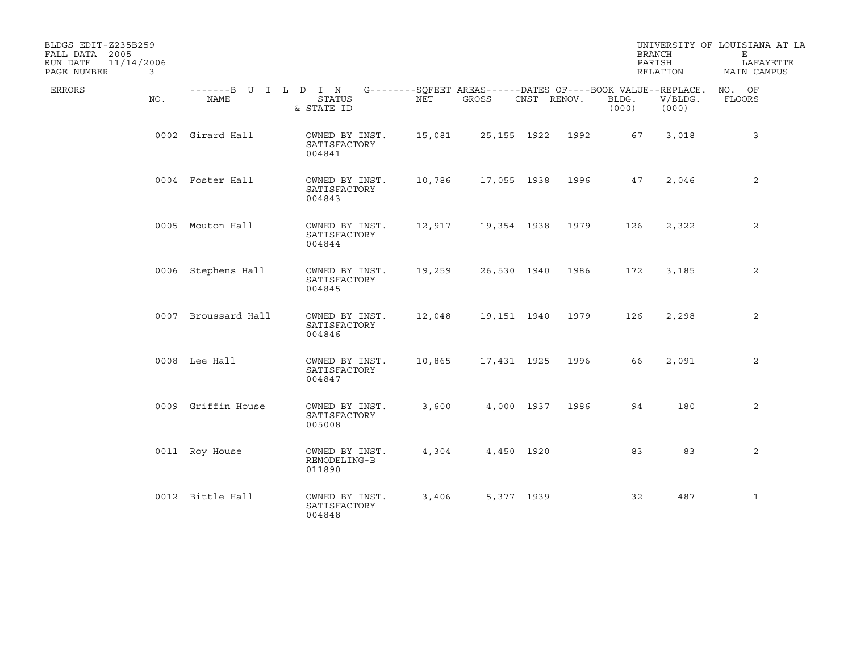| BLDGS EDIT-Z235B259<br>FALL DATA 2005<br>RUN DATE<br>11/14/2006<br>PAGE NUMBER | 3   |                              |                                          |        |                                                                      |             |                   |                | <b>BRANCH</b><br>PARISH<br>RELATION | UNIVERSITY OF LOUISIANA AT LA<br>Е<br>LAFAYETTE<br>MAIN CAMPUS |
|--------------------------------------------------------------------------------|-----|------------------------------|------------------------------------------|--------|----------------------------------------------------------------------|-------------|-------------------|----------------|-------------------------------------|----------------------------------------------------------------|
| ERRORS                                                                         | NO. | -------B U I L D I N<br>NAME | <b>STATUS</b><br>& STATE ID              | NET    | G--------SQFEET AREAS------DATES OF----BOOK VALUE--REPLACE.<br>GROSS | CNST RENOV. |                   | BLDG.<br>(000) | V/BLDG.<br>(000)                    | NO. OF<br>FLOORS                                               |
|                                                                                |     | 0002 Girard Hall             | OWNED BY INST.<br>SATISFACTORY<br>004841 | 15,081 |                                                                      |             | 25, 155 1922 1992 | 67             | 3,018                               | 3                                                              |
|                                                                                |     | 0004 Foster Hall             | OWNED BY INST.<br>SATISFACTORY<br>004843 | 10,786 |                                                                      |             | 17,055 1938 1996  | 47             | 2,046                               | 2                                                              |
|                                                                                |     | 0005 Mouton Hall             | OWNED BY INST.<br>SATISFACTORY<br>004844 | 12,917 |                                                                      |             | 19,354 1938 1979  | 126            | 2,322                               | 2                                                              |
|                                                                                |     | 0006 Stephens Hall           | OWNED BY INST.<br>SATISFACTORY<br>004845 | 19,259 | 26,530 1940                                                          |             | 1986              | 172            | 3,185                               | 2                                                              |
|                                                                                |     | 0007 Broussard Hall          | OWNED BY INST.<br>SATISFACTORY<br>004846 | 12,048 | 19,151 1940                                                          |             | 1979              | 126            | 2,298                               | $\overline{2}$                                                 |
|                                                                                |     | 0008 Lee Hall                | OWNED BY INST.<br>SATISFACTORY<br>004847 | 10,865 | 17,431 1925                                                          |             | 1996              | 66             | 2,091                               | 2                                                              |
|                                                                                |     | 0009 Griffin House           | OWNED BY INST.<br>SATISFACTORY<br>005008 | 3,600  |                                                                      | 4,000 1937  | 1986              | 94             | 180                                 | $\overline{2}$                                                 |
|                                                                                |     | 0011 Roy House               | OWNED BY INST.<br>REMODELING-B<br>011890 | 4,304  |                                                                      | 4,450 1920  |                   | 83             | 83                                  | 2                                                              |
|                                                                                |     | 0012 Bittle Hall             | OWNED BY INST.<br>SATISFACTORY<br>004848 | 3,406  |                                                                      | 5,377 1939  |                   | 32             | 487                                 | $\mathbf{1}$                                                   |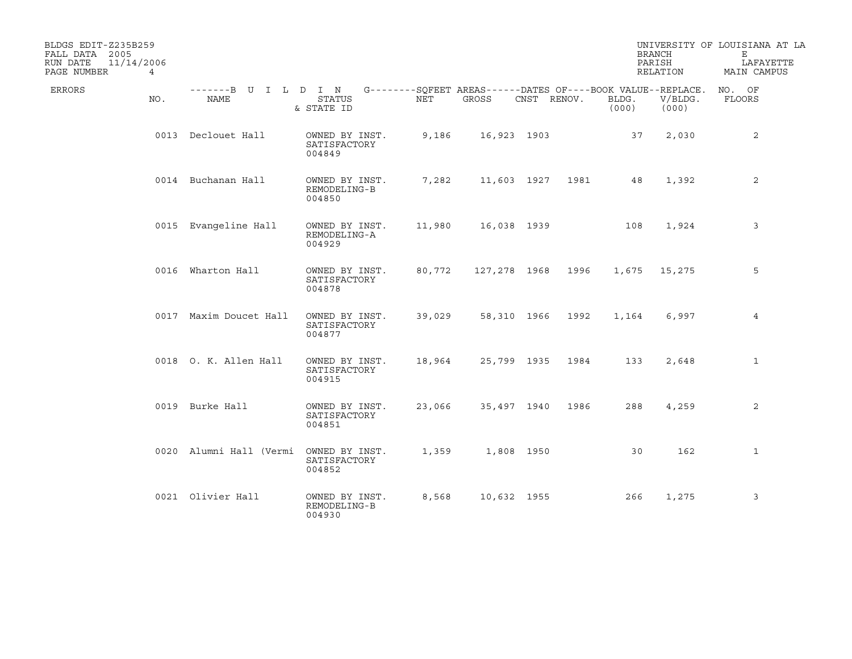| BLDGS EDIT-Z235B259<br>FALL DATA 2005<br>11/14/2006<br>RUN DATE |                              |                                          |        |                                                                      |             |      |                | <b>BRANCH</b><br>PARISH | UNIVERSITY OF LOUISIANA AT LA<br>Е<br>LAFAYETTE |
|-----------------------------------------------------------------|------------------------------|------------------------------------------|--------|----------------------------------------------------------------------|-------------|------|----------------|-------------------------|-------------------------------------------------|
| PAGE NUMBER<br>$\overline{4}$                                   |                              |                                          |        |                                                                      |             |      |                | RELATION                | MAIN CAMPUS                                     |
| ERRORS<br>NO.                                                   | -------B U I L D I N<br>NAME | ${\tt STATUS}$<br>& STATE ID             | NET    | G--------SQFEET AREAS------DATES OF----BOOK VALUE--REPLACE.<br>GROSS | CNST RENOV. |      | BLDG.<br>(000) | V/BLDG.<br>(000)        | NO. OF<br>FLOORS                                |
|                                                                 | 0013 Declouet Hall           | OWNED BY INST.<br>SATISFACTORY<br>004849 | 9,186  | 16,923 1903                                                          |             |      | 37             | 2,030                   | 2                                               |
|                                                                 | 0014 Buchanan Hall           | OWNED BY INST.<br>REMODELING-B<br>004850 | 7,282  | 11,603 1927                                                          |             | 1981 | 48             | 1,392                   | 2                                               |
|                                                                 | 0015 Evangeline Hall         | OWNED BY INST.<br>REMODELING-A<br>004929 | 11,980 | 16,038 1939                                                          |             |      | 108            | 1,924                   | 3                                               |
|                                                                 | 0016 Wharton Hall            | OWNED BY INST.<br>SATISFACTORY<br>004878 | 80,772 | 127,278 1968                                                         |             | 1996 | 1,675          | 15,275                  | 5                                               |
|                                                                 | 0017 Maxim Doucet Hall       | OWNED BY INST.<br>SATISFACTORY<br>004877 | 39,029 | 58,310 1966                                                          |             | 1992 | 1,164          | 6,997                   | 4                                               |
|                                                                 | 0018 O. K. Allen Hall        | OWNED BY INST.<br>SATISFACTORY<br>004915 | 18,964 | 25,799 1935                                                          |             | 1984 | 133            | 2,648                   | 1                                               |
|                                                                 | 0019 Burke Hall              | OWNED BY INST.<br>SATISFACTORY<br>004851 | 23,066 | 35,497 1940                                                          |             | 1986 | 288            | 4,259                   | 2                                               |
|                                                                 | 0020 Alumni Hall (Vermi      | OWNED BY INST.<br>SATISFACTORY<br>004852 | 1,359  |                                                                      | 1,808 1950  |      | 30             | 162                     | $\mathbf{1}$                                    |
|                                                                 | 0021 Olivier Hall            | OWNED BY INST.<br>REMODELING-B<br>004930 | 8,568  | 10,632 1955                                                          |             |      | 266            | 1,275                   | 3                                               |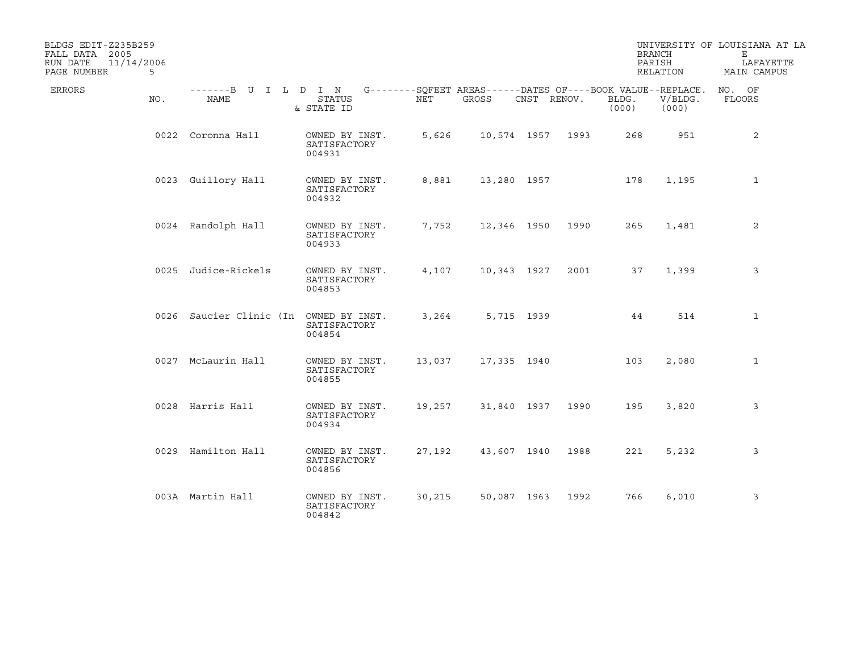| BLDGS EDIT-Z235B259<br>FALL DATA 2005<br>11/14/2006<br>RUN DATE<br>PAGE NUMBER | 5   |                                        |                                          |        |             |                  |      |                | <b>BRANCH</b><br>PARISH<br>RELATION                                             | UNIVERSITY OF LOUISIANA AT LA<br>Е<br>LAFAYETTE<br>MAIN CAMPUS |
|--------------------------------------------------------------------------------|-----|----------------------------------------|------------------------------------------|--------|-------------|------------------|------|----------------|---------------------------------------------------------------------------------|----------------------------------------------------------------|
| ERRORS                                                                         | NO. | -------B U I L D I N<br>NAME           | <b>STATUS</b><br>& STATE ID              | NET    | GROSS       | CNST RENOV.      |      | BLDG.<br>(000) | G--------SQFEET AREAS------DATES OF----BOOK VALUE--REPLACE.<br>V/BLDG.<br>(000) | NO. OF<br>FLOORS                                               |
|                                                                                |     | 0022 Coronna Hall                      | OWNED BY INST.<br>SATISFACTORY<br>004931 | 5,626  |             | 10,574 1957 1993 |      | 268            | 951                                                                             | 2                                                              |
|                                                                                |     | 0023 Guillory Hall                     | OWNED BY INST.<br>SATISFACTORY<br>004932 | 8,881  | 13,280 1957 |                  |      | 178            | 1,195                                                                           | $\mathbf{1}$                                                   |
|                                                                                |     | 0024 Randolph Hall                     | OWNED BY INST.<br>SATISFACTORY<br>004933 | 7,752  |             | 12,346 1950      | 1990 | 265            | 1,481                                                                           | 2                                                              |
|                                                                                |     | 0025 Judice-Rickels                    | OWNED BY INST.<br>SATISFACTORY<br>004853 | 4,107  | 10,343 1927 |                  | 2001 | 37             | 1,399                                                                           | 3                                                              |
|                                                                                |     | 0026 Saucier Clinic (In OWNED BY INST. | SATISFACTORY<br>004854                   | 3,264  |             | 5,715 1939       |      | 44             | 514                                                                             | $\mathbf{1}$                                                   |
|                                                                                |     | 0027 McLaurin Hall                     | OWNED BY INST.<br>SATISFACTORY<br>004855 | 13,037 |             | 17,335 1940      |      | 103            | 2,080                                                                           | 1                                                              |
|                                                                                |     | 0028 Harris Hall                       | OWNED BY INST.<br>SATISFACTORY<br>004934 | 19,257 |             | 31,840 1937      | 1990 | 195            | 3,820                                                                           | 3                                                              |
|                                                                                |     | 0029 Hamilton Hall                     | OWNED BY INST.<br>SATISFACTORY<br>004856 | 27,192 |             | 43,607 1940      | 1988 | 221            | 5,232                                                                           | 3                                                              |
|                                                                                |     | 003A Martin Hall                       | OWNED BY INST.<br>SATISFACTORY<br>004842 | 30,215 |             | 50,087 1963      | 1992 | 766            | 6,010                                                                           | 3                                                              |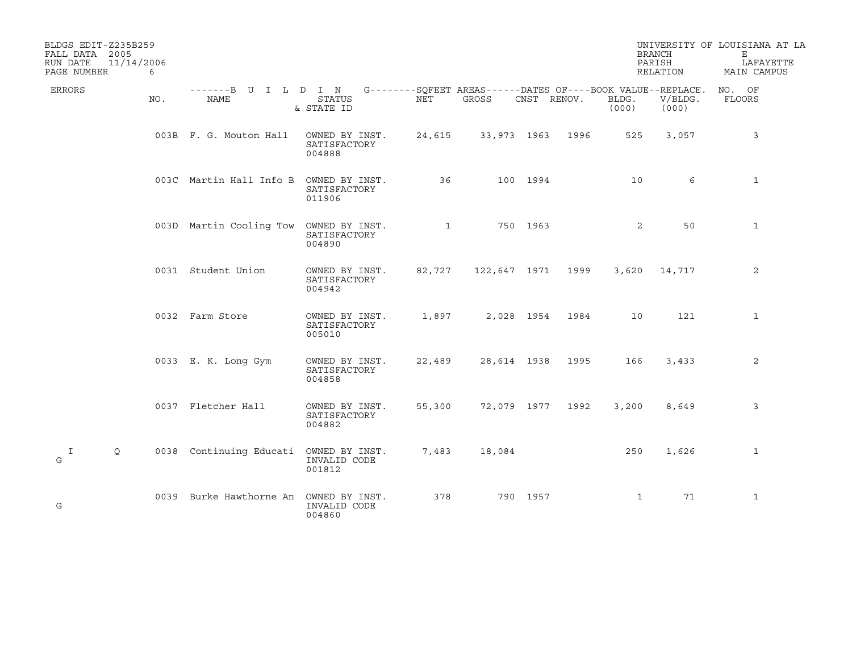| BLDGS EDIT-Z235B259<br>FALL DATA 2005<br>11/14/2006<br>RUN DATE<br>PAGE NUMBER | 6   |                                        |                                          |              |                   |             |      |                | <b>BRANCH</b><br>PARISH<br>RELATION                                             | UNIVERSITY OF LOUISIANA AT LA<br>Е<br>LAFAYETTE<br>MAIN CAMPUS |
|--------------------------------------------------------------------------------|-----|----------------------------------------|------------------------------------------|--------------|-------------------|-------------|------|----------------|---------------------------------------------------------------------------------|----------------------------------------------------------------|
| ERRORS                                                                         | NO. | -------B U I L D I N<br>NAME           | <b>STATUS</b><br>& STATE ID              | NET          | GROSS             | CNST RENOV. |      | BLDG.<br>(000) | G--------SQFEET AREAS------DATES OF----BOOK VALUE--REPLACE.<br>V/BLDG.<br>(000) | NO. OF<br>FLOORS                                               |
|                                                                                |     | 003B F. G. Mouton Hall                 | OWNED BY INST.<br>SATISFACTORY<br>004888 | 24,615       | 33,973 1963 1996  |             |      | 525            | 3,057                                                                           | 3                                                              |
|                                                                                |     | 003C Martin Hall Info B                | OWNED BY INST.<br>SATISFACTORY<br>011906 | 36           |                   | 100 1994    |      | 10             | 6                                                                               | $\mathbf{1}$                                                   |
|                                                                                |     | 003D Martin Cooling Tow OWNED BY INST. | SATISFACTORY<br>004890                   | $\mathbf{1}$ | 750 1963          |             |      | 2              | 50                                                                              | $\mathbf{1}$                                                   |
|                                                                                |     | 0031 Student Union                     | OWNED BY INST.<br>SATISFACTORY<br>004942 | 82,727       | 122,647 1971 1999 |             |      | 3,620          | 14,717                                                                          | 2                                                              |
|                                                                                |     | 0032 Farm Store                        | OWNED BY INST.<br>SATISFACTORY<br>005010 | 1,897        |                   | 2,028 1954  | 1984 | 10             | 121                                                                             | $\mathbf{1}$                                                   |
|                                                                                |     | 0033 E. K. Long Gym                    | OWNED BY INST.<br>SATISFACTORY<br>004858 | 22,489       | 28,614 1938       |             | 1995 | 166            | 3,433                                                                           | 2                                                              |
|                                                                                |     | 0037 Fletcher Hall                     | OWNED BY INST.<br>SATISFACTORY<br>004882 | 55,300       | 72,079 1977 1992  |             |      | 3,200          | 8,649                                                                           | 3                                                              |
| $\mathbf{I}$<br>Q<br>G                                                         |     | 0038 Continuing Educati OWNED BY INST. | INVALID CODE<br>001812                   | 7,483        | 18,084            |             |      | 250            | 1,626                                                                           | $\mathbf{1}$                                                   |
| G                                                                              |     | 0039 Burke Hawthorne An                | OWNED BY INST.<br>INVALID CODE<br>004860 | 378          |                   | 790 1957    |      | $\mathbf 1$    | 71                                                                              | $\mathbf{1}$                                                   |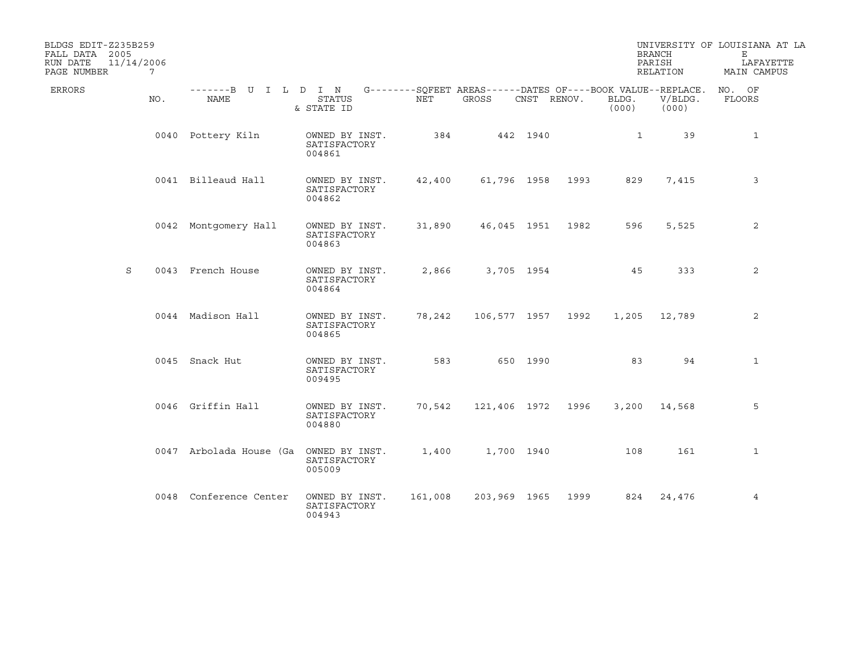| BLDGS EDIT-Z235B259<br>FALL DATA 2005<br>RUN DATE<br>11/14/2006<br>PAGE NUMBER | 7   |                                                                                                 |                                          |         |                   |             |                  |                | <b>BRANCH</b><br>PARISH<br>RELATION | UNIVERSITY OF LOUISIANA AT LA<br>Е<br>LAFAYETTE<br>MAIN CAMPUS |
|--------------------------------------------------------------------------------|-----|-------------------------------------------------------------------------------------------------|------------------------------------------|---------|-------------------|-------------|------------------|----------------|-------------------------------------|----------------------------------------------------------------|
| ERRORS                                                                         | NO. | -------B U I L D I N G--------SQFEET AREAS------DATES OF----BOOK VALUE--REPLACE. NO. OF<br>NAME | <b>STATUS</b><br>& STATE ID              | NET     | GROSS             | CNST RENOV. |                  | BLDG.<br>(000) | V/BLDG.<br>(000)                    | FLOORS                                                         |
|                                                                                |     | 0040 Pottery Kiln                                                                               | OWNED BY INST.<br>SATISFACTORY<br>004861 | 384     | 442 1940          |             |                  | $\mathbf{1}$   | 39                                  | $\mathbf{1}$                                                   |
|                                                                                |     | 0041 Billeaud Hall                                                                              | OWNED BY INST.<br>SATISFACTORY<br>004862 | 42,400  |                   |             | 61,796 1958 1993 | 829            | 7,415                               | 3                                                              |
|                                                                                |     | 0042 Montgomery Hall                                                                            | OWNED BY INST.<br>SATISFACTORY<br>004863 | 31,890  |                   |             | 46,045 1951 1982 | 596            | 5,525                               | 2                                                              |
| S                                                                              |     | 0043 French House                                                                               | OWNED BY INST.<br>SATISFACTORY<br>004864 | 2,866   |                   | 3,705 1954  |                  | 45             | 333                                 | 2                                                              |
|                                                                                |     | 0044 Madison Hall                                                                               | OWNED BY INST.<br>SATISFACTORY<br>004865 | 78,242  | 106,577 1957 1992 |             |                  |                | 1,205 12,789                        | $\overline{2}$                                                 |
|                                                                                |     | 0045 Snack Hut                                                                                  | OWNED BY INST.<br>SATISFACTORY<br>009495 | 583     |                   | 650 1990    |                  | 83             | 94                                  | $\mathbf{1}$                                                   |
|                                                                                |     | 0046 Griffin Hall                                                                               | OWNED BY INST.<br>SATISFACTORY<br>004880 | 70,542  | 121,406 1972 1996 |             |                  |                | 3,200 14,568                        | 5                                                              |
|                                                                                |     | 0047 Arbolada House (Ga                                                                         | OWNED BY INST.<br>SATISFACTORY<br>005009 | 1,400   |                   | 1,700 1940  |                  | 108            | 161                                 | $\mathbf{1}$                                                   |
|                                                                                |     | 0048 Conference Center                                                                          | OWNED BY INST.<br>SATISFACTORY<br>004943 | 161,008 | 203,969 1965      |             | 1999             | 824            | 24,476                              | 4                                                              |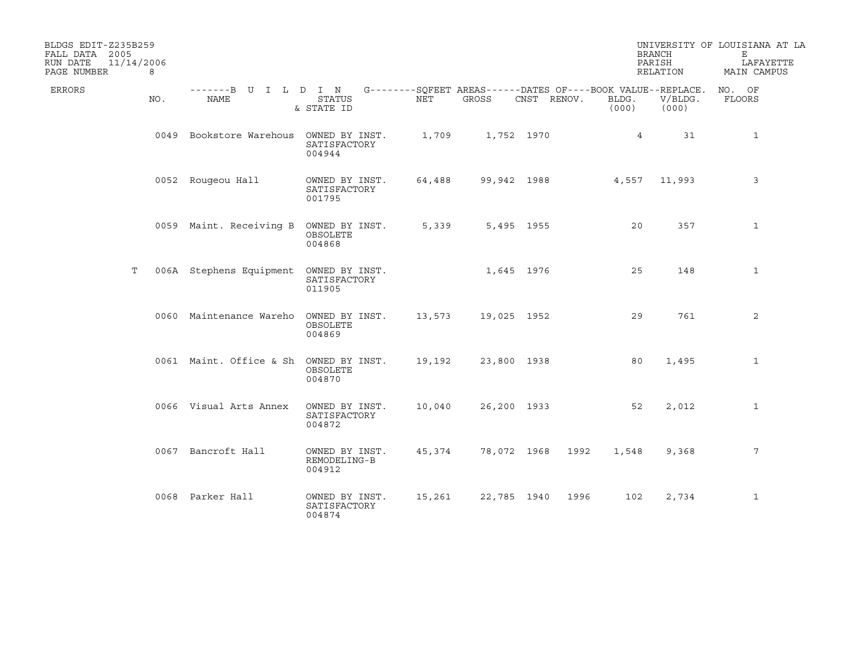| BLDGS EDIT-Z235B259<br>FALL DATA 2005 |     |                                                                                          |                                          |        |             |             |             | <b>BRANCH</b>  |                  | UNIVERSITY OF LOUISIANA AT LA<br>Е |
|---------------------------------------|-----|------------------------------------------------------------------------------------------|------------------------------------------|--------|-------------|-------------|-------------|----------------|------------------|------------------------------------|
| RUN DATE<br>11/14/2006<br>PAGE NUMBER | 8   |                                                                                          |                                          |        |             |             |             | PARISH         | RELATION         | LAFAYETTE<br>MAIN CAMPUS           |
| ERRORS                                | NO. | -------B U I L D I N G--------SQFEET AREAS------DATES OF----BOOK VALUE--REPLACE.<br>NAME | STATUS<br>& STATE ID                     | NET    | GROSS       | CNST RENOV. |             | BLDG.<br>(000) | V/BLDG.<br>(000) | NO. OF<br>FLOORS                   |
|                                       |     | 0049 Bookstore Warehous OWNED BY INST.                                                   | SATISFACTORY<br>004944                   | 1,709  |             | 1,752 1970  |             | $\overline{4}$ | 31               | $\mathbf{1}$                       |
|                                       |     | 0052 Rougeou Hall                                                                        | OWNED BY INST.<br>SATISFACTORY<br>001795 | 64,488 |             |             | 99,942 1988 |                | 4,557 11,993     | 3                                  |
|                                       |     | 0059 Maint. Receiving B                                                                  | OWNED BY INST.<br>OBSOLETE<br>004868     | 5,339  |             | 5,495 1955  |             | 20             | 357              | 1                                  |
| Т                                     |     | 006A Stephens Equipment OWNED BY INST.                                                   | SATISFACTORY<br>011905                   |        |             | 1,645 1976  |             | 25             | 148              | $\mathbf{1}$                       |
|                                       |     | 0060 Maintenance Wareho OWNED BY INST.                                                   | OBSOLETE<br>004869                       | 13,573 | 19,025 1952 |             |             | 29             | 761              | 2                                  |
|                                       |     | 0061 Maint. Office & Sh OWNED BY INST.                                                   | OBSOLETE<br>004870                       | 19,192 | 23,800 1938 |             |             | 80             | 1,495            | 1                                  |
|                                       |     | 0066 Visual Arts Annex                                                                   | OWNED BY INST.<br>SATISFACTORY<br>004872 | 10,040 | 26,200 1933 |             |             | 52             | 2,012            | $\mathbf{1}$                       |
|                                       |     | 0067 Bancroft Hall                                                                       | OWNED BY INST.<br>REMODELING-B<br>004912 | 45,374 |             | 78,072 1968 | 1992        | 1,548          | 9,368            | 7                                  |
|                                       |     | 0068 Parker Hall                                                                         | OWNED BY INST.<br>SATISFACTORY<br>004874 | 15,261 |             | 22,785 1940 | 1996        | 102            | 2,734            | $\mathbf{1}$                       |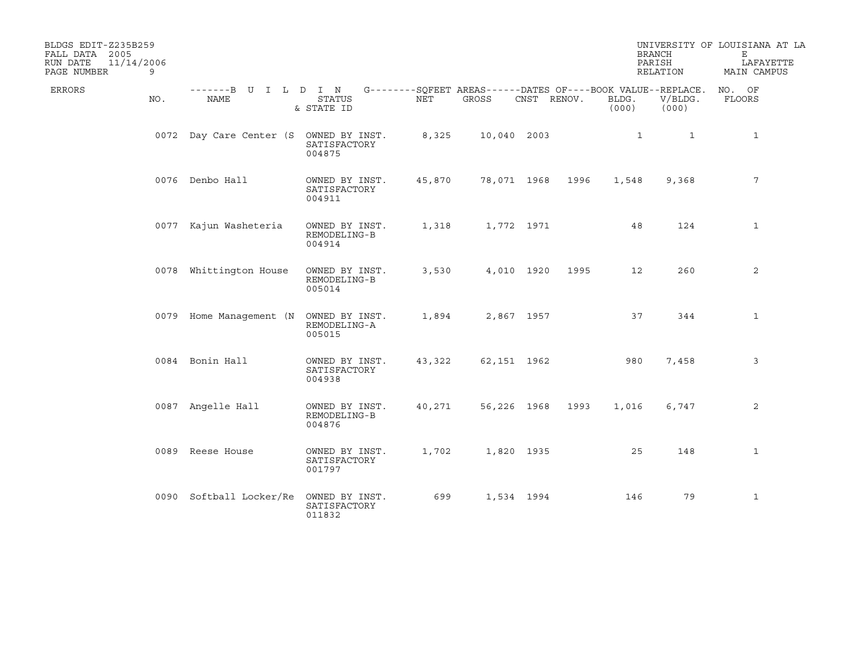| BLDGS EDIT-Z235B259<br>FALL DATA 2005<br>11/14/2006<br>RUN DATE<br>PAGE NUMBER | 9   |                                        |                                          |        |             |             |      |                | <b>BRANCH</b><br>PARISH<br>RELATION                                             | UNIVERSITY OF LOUISIANA AT LA<br>Е<br>LAFAYETTE<br>MAIN CAMPUS |
|--------------------------------------------------------------------------------|-----|----------------------------------------|------------------------------------------|--------|-------------|-------------|------|----------------|---------------------------------------------------------------------------------|----------------------------------------------------------------|
| ERRORS                                                                         | NO. | -------B U I L D I N<br>NAME           | <b>STATUS</b><br>& STATE ID              | NET    | GROSS       | CNST RENOV. |      | BLDG.<br>(000) | G--------SQFEET AREAS------DATES OF----BOOK VALUE--REPLACE.<br>V/BLDG.<br>(000) | NO. OF<br>FLOORS                                               |
|                                                                                |     | 0072 Day Care Center (S OWNED BY INST. | SATISFACTORY<br>004875                   | 8,325  | 10,040 2003 |             |      | $\mathbf{1}$   | $\mathbf{1}$                                                                    | $\mathbf{1}$                                                   |
|                                                                                |     | 0076 Denbo Hall                        | OWNED BY INST.<br>SATISFACTORY<br>004911 | 45,870 | 78,071 1968 |             | 1996 | 1,548          | 9,368                                                                           | 7                                                              |
|                                                                                |     | 0077 Kajun Washeteria                  | OWNED BY INST.<br>REMODELING-B<br>004914 | 1,318  |             | 1,772 1971  |      | 48             | 124                                                                             | $\mathbf{1}$                                                   |
|                                                                                |     | 0078 Whittington House                 | OWNED BY INST.<br>REMODELING-B<br>005014 | 3,530  |             | 4,010 1920  | 1995 | 12             | 260                                                                             | 2                                                              |
|                                                                                |     | 0079 Home Management (N                | OWNED BY INST.<br>REMODELING-A<br>005015 | 1,894  |             | 2,867 1957  |      | 37             | 344                                                                             | 1                                                              |
|                                                                                |     | 0084 Bonin Hall                        | OWNED BY INST.<br>SATISFACTORY<br>004938 | 43,322 | 62,151 1962 |             |      | 980            | 7,458                                                                           | 3                                                              |
|                                                                                |     | 0087 Angelle Hall                      | OWNED BY INST.<br>REMODELING-B<br>004876 | 40,271 | 56,226 1968 |             | 1993 | 1,016          | 6,747                                                                           | 2                                                              |
|                                                                                |     | 0089 Reese House                       | OWNED BY INST.<br>SATISFACTORY<br>001797 | 1,702  |             | 1,820 1935  |      | 25             | 148                                                                             | $\mathbf{1}$                                                   |
|                                                                                |     | 0090 Softball Locker/Re                | OWNED BY INST.<br>SATISFACTORY<br>011832 | 699    |             | 1,534 1994  |      | 146            | 79                                                                              | $\mathbf 1$                                                    |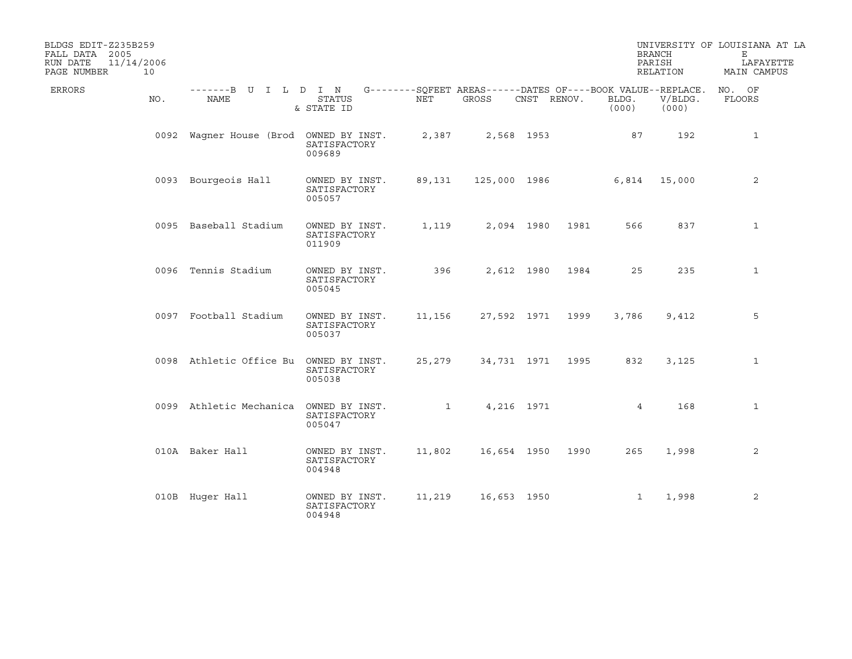| BLDGS EDIT-Z235B259<br>FALL DATA 2005<br>RUN DATE<br>11/14/2006<br>PAGE NUMBER | 10  |                                                                                          |                                          |        |                               |             |                  |                | <b>BRANCH</b><br>PARISH<br>RELATION | UNIVERSITY OF LOUISIANA AT LA<br>Е<br>LAFAYETTE<br>MAIN CAMPUS |
|--------------------------------------------------------------------------------|-----|------------------------------------------------------------------------------------------|------------------------------------------|--------|-------------------------------|-------------|------------------|----------------|-------------------------------------|----------------------------------------------------------------|
| ERRORS                                                                         | NO. | -------B U I L D I N G--------SQFEET AREAS------DATES OF----BOOK VALUE--REPLACE.<br>NAME | <b>STATUS</b><br>& STATE ID              | NET    | GROSS                         | CNST RENOV. |                  | BLDG.<br>(000) | V/BLDG.<br>(000)                    | NO. OF<br>FLOORS                                               |
|                                                                                |     | 0092 Waqner House (Brod OWNED BY INST.                                                   | SATISFACTORY<br>009689                   | 2,387  |                               | 2,568 1953  |                  | 87             | 192                                 | $\mathbf{1}$                                                   |
|                                                                                |     | 0093 Bourgeois Hall                                                                      | OWNED BY INST.<br>SATISFACTORY<br>005057 | 89,131 |                               |             | 125,000 1986     |                | 6,814 15,000                        | 2                                                              |
|                                                                                |     | 0095 Baseball Stadium                                                                    | OWNED BY INST.<br>SATISFACTORY<br>011909 | 1,119  |                               | 2,094 1980  | 1981             | 566            | 837                                 | $\mathbf{1}$                                                   |
|                                                                                |     | 0096 Tennis Stadium                                                                      | OWNED BY INST.<br>SATISFACTORY<br>005045 | 396    |                               | 2,612 1980  | 1984             | 25             | 235                                 | $\mathbf{1}$                                                   |
|                                                                                |     | 0097 Football Stadium                                                                    | OWNED BY INST.<br>SATISFACTORY<br>005037 | 11,156 |                               |             | 27,592 1971 1999 | 3,786          | 9,412                               | 5                                                              |
|                                                                                |     | 0098 Athletic Office Bu                                                                  | OWNED BY INST.<br>SATISFACTORY<br>005038 | 25,279 |                               |             | 34,731 1971 1995 | 832            | 3,125                               | 1                                                              |
|                                                                                |     | 0099 Athletic Mechanica                                                                  | OWNED BY INST.<br>SATISFACTORY<br>005047 |        | $\mathbf{1}$ and $\mathbf{1}$ | 4,216 1971  |                  | 4              | 168                                 | $\mathbf{1}$                                                   |
|                                                                                |     | 010A Baker Hall                                                                          | OWNED BY INST.<br>SATISFACTORY<br>004948 | 11,802 | 16,654 1950                   |             | 1990             | 265            | 1,998                               | 2                                                              |
|                                                                                |     | 010B Huger Hall                                                                          | OWNED BY INST.<br>SATISFACTORY<br>004948 | 11,219 | 16,653 1950                   |             |                  | $\mathbf{1}$   | 1,998                               | 2                                                              |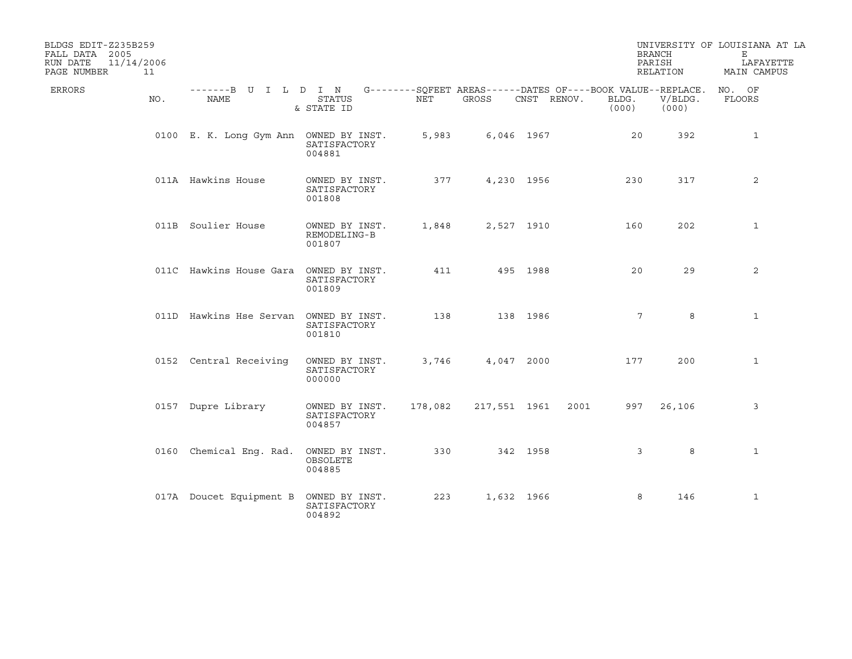| BLDGS EDIT-Z235B259<br>FALL DATA 2005<br>11/14/2006<br>RUN DATE<br>PAGE NUMBER<br>11 |                                                                                          |                                          |         |              |             |                | <b>BRANCH</b><br>PARISH<br>RELATION | UNIVERSITY OF LOUISIANA AT LA<br>Е<br>LAFAYETTE<br>MAIN CAMPUS |
|--------------------------------------------------------------------------------------|------------------------------------------------------------------------------------------|------------------------------------------|---------|--------------|-------------|----------------|-------------------------------------|----------------------------------------------------------------|
| ERRORS<br>NO.                                                                        | -------B U I L D I N G--------SQFEET AREAS------DATES OF----BOOK VALUE--REPLACE.<br>NAME | <b>STATUS</b><br>& STATE ID              | NET     | GROSS        | CNST RENOV. | BLDG.<br>(000) | V/BLDG.<br>(000)                    | NO. OF<br>FLOORS                                               |
|                                                                                      | 0100 E. K. Long Gym Ann OWNED BY INST.                                                   | SATISFACTORY<br>004881                   | 5,983   |              | 6,046 1967  | 20             | 392                                 | $\mathbf{1}$                                                   |
|                                                                                      | 011A Hawkins House                                                                       | OWNED BY INST.<br>SATISFACTORY<br>001808 | 377     |              | 4,230 1956  | 230            | 317                                 | 2                                                              |
|                                                                                      | 011B Soulier House                                                                       | OWNED BY INST.<br>REMODELING-B<br>001807 | 1,848   | 2,527 1910   |             | 160            | 202                                 | 1                                                              |
|                                                                                      | 011C Hawkins House Gara                                                                  | OWNED BY INST.<br>SATISFACTORY<br>001809 | 411     |              | 495 1988    | 20             | 29                                  | 2                                                              |
|                                                                                      | 011D Hawkins Hse Servan OWNED BY INST.                                                   | SATISFACTORY<br>001810                   | 138     |              | 138 1986    | 7              | 8                                   | $\mathbf{1}$                                                   |
|                                                                                      | 0152 Central Receiving                                                                   | OWNED BY INST.<br>SATISFACTORY<br>000000 | 3,746   |              | 4,047 2000  | 177            | 200                                 | $\mathbf{1}$                                                   |
|                                                                                      | 0157 Dupre Library                                                                       | OWNED BY INST.<br>SATISFACTORY<br>004857 | 178,082 | 217,551 1961 |             | 2001<br>997    | 26,106                              | 3                                                              |
|                                                                                      | 0160 Chemical Eng. Rad.                                                                  | OWNED BY INST.<br>OBSOLETE<br>004885     | 330     |              | 342 1958    | 3              | 8                                   | $\mathbf{1}$                                                   |
|                                                                                      | 017A Doucet Equipment B                                                                  | OWNED BY INST.<br>SATISFACTORY<br>004892 | 223     | 1,632 1966   |             | 8              | 146                                 | $\mathbf{1}$                                                   |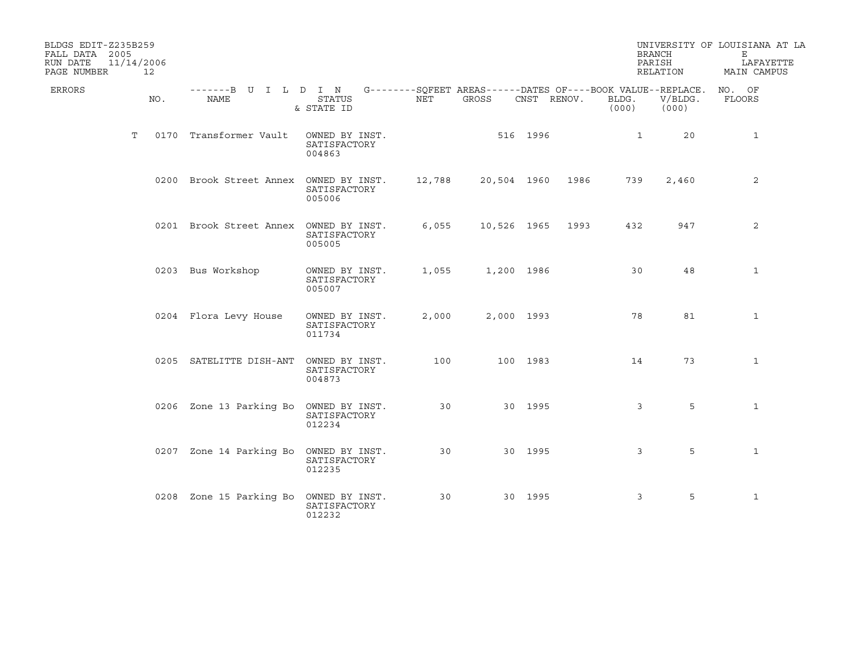| BLDGS EDIT-Z235B259<br>FALL DATA 2005<br>RUN DATE<br>PAGE NUMBER | 11/14/2006<br>12 |                                                                                          |                                          |        |             |             |      |                | <b>BRANCH</b><br>PARISH<br>RELATION | UNIVERSITY OF LOUISIANA AT LA<br>Е<br>LAFAYETTE<br>MAIN CAMPUS |
|------------------------------------------------------------------|------------------|------------------------------------------------------------------------------------------|------------------------------------------|--------|-------------|-------------|------|----------------|-------------------------------------|----------------------------------------------------------------|
| ERRORS                                                           | NO.              | -------B U I L D I N G--------SQFEET AREAS------DATES OF----BOOK VALUE--REPLACE.<br>NAME | <b>STATUS</b><br>& STATE ID              | NET    | GROSS       | CNST RENOV. |      | BLDG.<br>(000) | V/BLDG.<br>(000)                    | NO. OF<br>FLOORS                                               |
|                                                                  | T                | 0170 Transformer Vault                                                                   | OWNED BY INST.<br>SATISFACTORY<br>004863 |        | 516 1996    |             |      | $\mathbf{1}$   | 20                                  | $\mathbf{1}$                                                   |
|                                                                  |                  | 0200 Brook Street Annex OWNED BY INST.                                                   | SATISFACTORY<br>005006                   | 12,788 | 20,504 1960 |             | 1986 | 739            | 2,460                               | 2                                                              |
|                                                                  |                  | 0201 Brook Street Annex OWNED BY INST.                                                   | SATISFACTORY<br>005005                   | 6,055  | 10,526 1965 |             | 1993 | 432            | 947                                 | 2                                                              |
|                                                                  |                  | 0203 Bus Workshop                                                                        | OWNED BY INST.<br>SATISFACTORY<br>005007 | 1,055  | 1,200 1986  |             |      | 30             | 48                                  | $\mathbf{1}$                                                   |
|                                                                  |                  | 0204 Flora Levy House                                                                    | OWNED BY INST.<br>SATISFACTORY<br>011734 | 2,000  | 2,000 1993  |             |      | 78             | 81                                  | $\mathbf{1}$                                                   |
|                                                                  |                  | 0205 SATELITTE DISH-ANT                                                                  | OWNED BY INST.<br>SATISFACTORY<br>004873 | 100    |             | 100 1983    |      | 14             | 73                                  | $\mathbf{1}$                                                   |
|                                                                  |                  | 0206 Zone 13 Parking Bo                                                                  | OWNED BY INST.<br>SATISFACTORY<br>012234 | 30     |             | 30 1995     |      | 3              | 5                                   | $\mathbf{1}$                                                   |
|                                                                  |                  | 0207 Zone 14 Parking Bo OWNED BY INST.                                                   | SATISFACTORY<br>012235                   | 30     |             | 30 1995     |      | 3              | 5                                   | $\mathbf{1}$                                                   |
|                                                                  |                  | 0208 Zone 15 Parking Bo                                                                  | OWNED BY INST.<br>SATISFACTORY<br>012232 | 30     |             | 30 1995     |      | 3              | 5                                   | $\mathbf{1}$                                                   |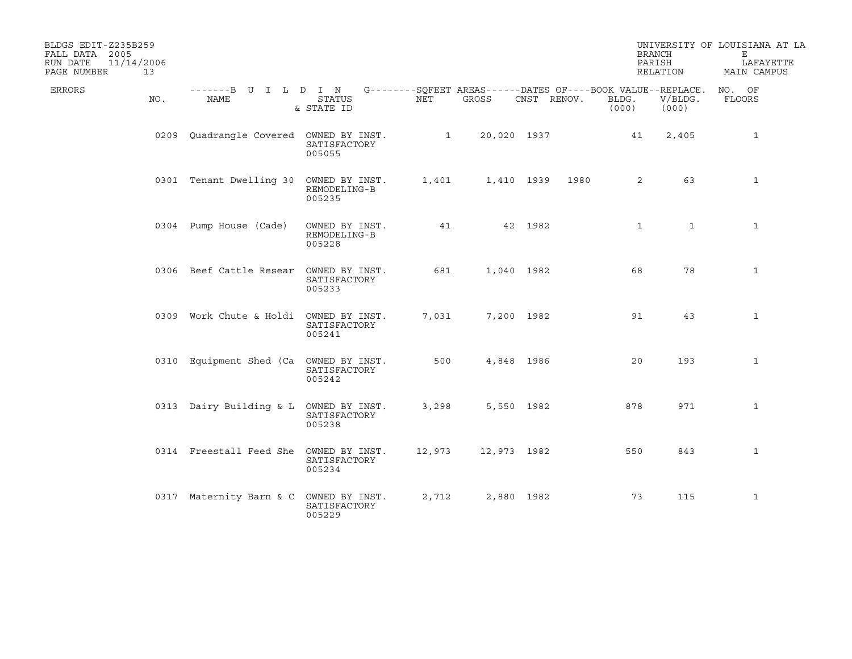| BLDGS EDIT-Z235B259<br>FALL DATA 2005<br>11/14/2006<br>RUN DATE<br>PAGE NUMBER<br>13 |                                                                                                        |                                          |        |                                  |             |                        | <b>BRANCH</b><br>PARISH<br>RELATION | UNIVERSITY OF LOUISIANA AT LA<br>Е<br>LAFAYETTE<br>MAIN CAMPUS |
|--------------------------------------------------------------------------------------|--------------------------------------------------------------------------------------------------------|------------------------------------------|--------|----------------------------------|-------------|------------------------|-------------------------------------|----------------------------------------------------------------|
| ERRORS<br>NO.                                                                        | -------B U I L D I N G--------SOFEET AREAS------DATES OF----BOOK VALUE--REPLACE. NO. OF<br><b>NAME</b> | <b>STATUS</b><br>& STATE ID              | NET    | GROSS                            | CNST RENOV. | BLDG.<br>(000)         | V/BLDG.<br>(000)                    | FLOORS                                                         |
|                                                                                      | 0209 Quadrangle Covered OWNED BY INST.                                                                 | SATISFACTORY<br>005055                   |        | $1 \qquad \qquad$<br>20,020 1937 |             | 41                     | 2,405                               | $\mathbf{1}$                                                   |
|                                                                                      | 0301 Tenant Dwelling 30 OWNED BY INST.                                                                 | REMODELING-B<br>005235                   | 1,401  |                                  | 1,410 1939  | 1980<br>$\overline{a}$ | 63                                  | $\mathbf{1}$                                                   |
|                                                                                      | 0304 Pump House (Cade)                                                                                 | OWNED BY INST.<br>REMODELING-B<br>005228 | 41     |                                  | 42 1982     | $\mathbf{1}$           | $\mathbf{1}$                        | $\mathbf{1}$                                                   |
|                                                                                      | 0306 Beef Cattle Resear OWNED BY INST.                                                                 | SATISFACTORY<br>005233                   | 681    |                                  | 1,040 1982  | 68                     | 78                                  | $\mathbf{1}$                                                   |
|                                                                                      | 0309 Work Chute & Holdi OWNED BY INST.                                                                 | SATISFACTORY<br>005241                   | 7,031  |                                  | 7,200 1982  | 91                     | 43                                  | $\mathbf{1}$                                                   |
|                                                                                      | 0310 Equipment Shed (Ca OWNED BY INST.                                                                 | SATISFACTORY<br>005242                   | 500    |                                  | 4,848 1986  | 20                     | 193                                 | $\mathbf{1}$                                                   |
|                                                                                      | 0313 Dairy Building & L OWNED BY INST.                                                                 | SATISFACTORY<br>005238                   | 3,298  |                                  | 5,550 1982  | 878                    | 971                                 | $\mathbf{1}$                                                   |
|                                                                                      | 0314 Freestall Feed She OWNED BY INST.                                                                 | SATISFACTORY<br>005234                   | 12,973 | 12,973 1982                      |             | 550                    | 843                                 | $\mathbf{1}$                                                   |
|                                                                                      | 0317 Maternity Barn & C                                                                                | OWNED BY INST.<br>SATISFACTORY<br>005229 | 2,712  |                                  | 2,880 1982  | 73                     | 115                                 | $\mathbf{1}$                                                   |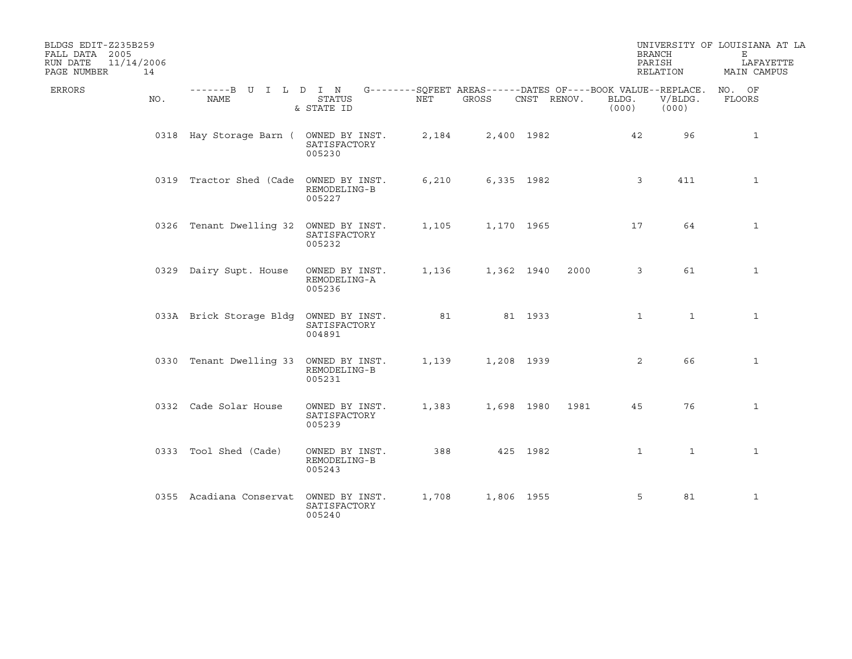| BLDGS EDIT-Z235B259<br>FALL DATA 2005<br>11/14/2006<br>RUN DATE<br>PAGE NUMBER | 14  |                                                                                          |                                          |       |            |             |      |                | <b>BRANCH</b><br>PARISH<br>RELATION | UNIVERSITY OF LOUISIANA AT LA<br>Е<br>LAFAYETTE<br>MAIN CAMPUS |
|--------------------------------------------------------------------------------|-----|------------------------------------------------------------------------------------------|------------------------------------------|-------|------------|-------------|------|----------------|-------------------------------------|----------------------------------------------------------------|
| ERRORS                                                                         | NO. | -------B U I L D I N G--------SOFEET AREAS------DATES OF----BOOK VALUE--REPLACE.<br>NAME | <b>STATUS</b><br>& STATE ID              | NET   | GROSS      | CNST RENOV. |      | BLDG.<br>(000) | V/BLDG.<br>(000)                    | NO. OF<br>FLOORS                                               |
|                                                                                |     | 0318 Hay Storage Barn ( OWNED BY INST.                                                   | SATISFACTORY<br>005230                   | 2,184 | 2,400 1982 |             |      | 42             | 96                                  | $\mathbf{1}$                                                   |
|                                                                                |     | 0319 Tractor Shed (Cade OWNED BY INST.                                                   | REMODELING-B<br>005227                   | 6,210 | 6,335 1982 |             |      | 3              | 411                                 | $\mathbf{1}$                                                   |
|                                                                                |     | 0326 Tenant Dwelling 32 OWNED BY INST.                                                   | SATISFACTORY<br>005232                   | 1,105 | 1,170 1965 |             |      | 17             | 64                                  | 1                                                              |
|                                                                                |     | 0329 Dairy Supt. House                                                                   | OWNED BY INST.<br>REMODELING-A<br>005236 | 1,136 | 1,362 1940 |             | 2000 | 3              | 61                                  | $\mathbf{1}$                                                   |
|                                                                                |     | 033A Brick Storage Bldg                                                                  | OWNED BY INST.<br>SATISFACTORY<br>004891 | 81    |            | 81 1933     |      | $\mathbf 1$    | $\mathbf{1}$                        | $\mathbf{1}$                                                   |
|                                                                                |     | 0330 Tenant Dwelling 33 OWNED BY INST.                                                   | REMODELING-B<br>005231                   | 1,139 | 1,208 1939 |             |      | 2              | 66                                  | $\mathbf{1}$                                                   |
|                                                                                |     | 0332 Cade Solar House                                                                    | OWNED BY INST.<br>SATISFACTORY<br>005239 | 1,383 | 1,698 1980 |             | 1981 | 45             | 76                                  | $\mathbf{1}$                                                   |
|                                                                                |     | 0333 Tool Shed (Cade)                                                                    | OWNED BY INST.<br>REMODELING-B<br>005243 | 388   |            | 425 1982    |      | $\mathbf{1}$   | $\mathbf{1}$                        | $\mathbf{1}$                                                   |
|                                                                                |     | 0355 Acadiana Conservat                                                                  | OWNED BY INST.<br>SATISFACTORY<br>005240 | 1,708 | 1,806 1955 |             |      | 5              | 81                                  | $\mathbf{1}$                                                   |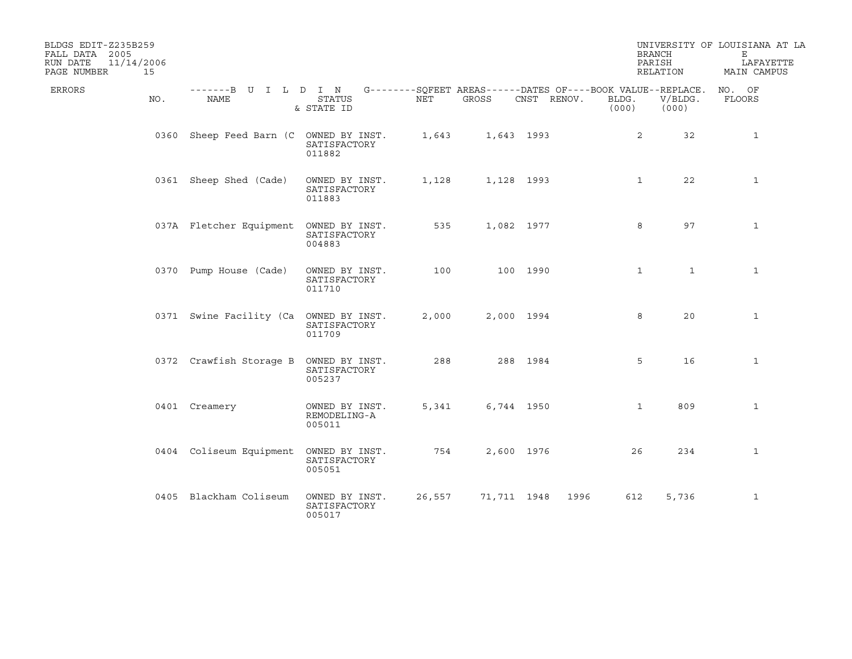| BLDGS EDIT-Z235B259<br>FALL DATA 2005<br>11/14/2006<br>RUN DATE<br>PAGE NUMBER<br>15 |                                                                                          |                                          |        |             |             |                | <b>BRANCH</b><br>PARISH<br>RELATION | UNIVERSITY OF LOUISIANA AT LA<br>Е<br>LAFAYETTE<br>MAIN CAMPUS |
|--------------------------------------------------------------------------------------|------------------------------------------------------------------------------------------|------------------------------------------|--------|-------------|-------------|----------------|-------------------------------------|----------------------------------------------------------------|
| ERRORS<br>NO.                                                                        | -------B U I L D I N G--------SQFEET AREAS------DATES OF----BOOK VALUE--REPLACE.<br>NAME | <b>STATUS</b><br>& STATE ID              | NET    | GROSS       | CNST RENOV. | BLDG.<br>(000) | V/BLDG.<br>(000)                    | NO. OF<br>FLOORS                                               |
|                                                                                      | 0360 Sheep Feed Barn (C OWNED BY INST.                                                   | SATISFACTORY<br>011882                   | 1,643  | 1,643 1993  |             |                | 2<br>32                             | $\mathbf{1}$                                                   |
|                                                                                      | 0361 Sheep Shed (Cade)                                                                   | OWNED BY INST.<br>SATISFACTORY<br>011883 | 1,128  |             | 1,128 1993  |                | 22<br>$\mathbf{1}$                  | $\mathbf{1}$                                                   |
|                                                                                      | 037A Fletcher Equipment                                                                  | OWNED BY INST.<br>SATISFACTORY<br>004883 | 535    |             | 1,082 1977  |                | 97<br>8                             | $\mathbf{1}$                                                   |
|                                                                                      | 0370 Pump House (Cade)                                                                   | OWNED BY INST.<br>SATISFACTORY<br>011710 | 100    |             | 100 1990    |                | $\mathbf{1}$<br>$\mathbf{1}$        | $\mathbf{1}$                                                   |
|                                                                                      | 0371 Swine Facility (Ca                                                                  | OWNED BY INST.<br>SATISFACTORY<br>011709 | 2,000  | 2,000 1994  |             |                | 8<br>20                             | $\mathbf{1}$                                                   |
|                                                                                      | 0372 Crawfish Storage B                                                                  | OWNED BY INST.<br>SATISFACTORY<br>005237 | 288    |             | 288 1984    |                | 5<br>16                             | 1                                                              |
|                                                                                      | 0401 Creamery                                                                            | OWNED BY INST.<br>REMODELING-A<br>005011 | 5,341  | 6,744 1950  |             |                | $\mathbf{1}$<br>809                 | $\mathbf{1}$                                                   |
|                                                                                      | 0404 Coliseum Equipment OWNED BY INST.                                                   | SATISFACTORY<br>005051                   | 754    |             | 2,600 1976  |                | 26<br>234                           | $\mathbf{1}$                                                   |
|                                                                                      | 0405 Blackham Coliseum                                                                   | OWNED BY INST.<br>SATISFACTORY<br>005017 | 26,557 | 71,711 1948 |             | 1996           | 612<br>5,736                        | $\mathbf{1}$                                                   |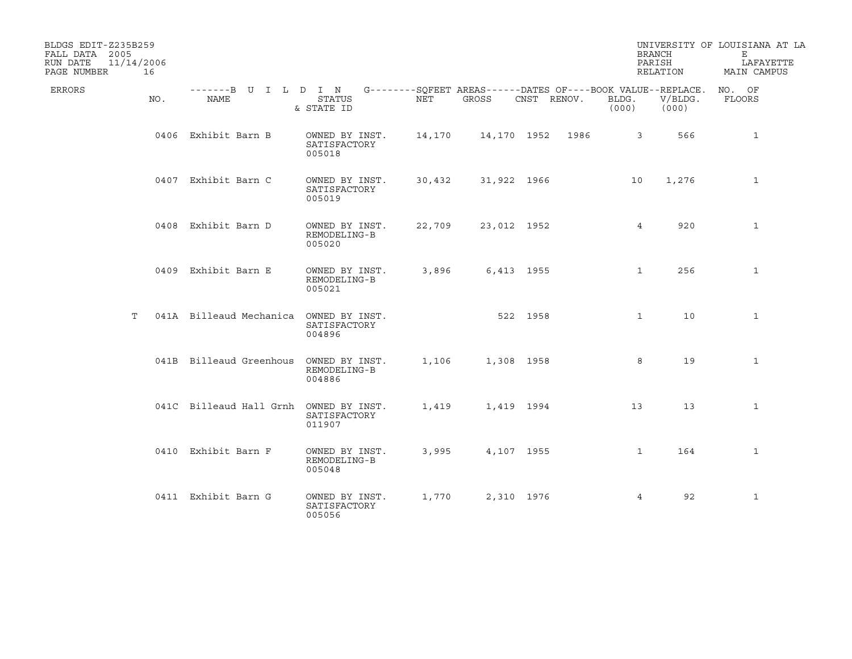| BLDGS EDIT-Z235B259<br>FALL DATA 2005<br>RUN DATE<br>PAGE NUMBER | 11/14/2006<br>16 |                                                                                          |                                          |        |                  |             |                | <b>BRANCH</b><br>PARISH<br>RELATION | UNIVERSITY OF LOUISIANA AT LA<br>Е<br>LAFAYETTE<br>MAIN CAMPUS |
|------------------------------------------------------------------|------------------|------------------------------------------------------------------------------------------|------------------------------------------|--------|------------------|-------------|----------------|-------------------------------------|----------------------------------------------------------------|
| ERRORS                                                           | NO.              | -------B U I L D I N G--------SQFEET AREAS------DATES OF----BOOK VALUE--REPLACE.<br>NAME | <b>STATUS</b><br>& STATE ID              | NET    | GROSS            | CNST RENOV. | BLDG.<br>(000) | V/BLDG.<br>(000)                    | NO. OF<br>FLOORS                                               |
|                                                                  |                  | 0406 Exhibit Barn B                                                                      | OWNED BY INST.<br>SATISFACTORY<br>005018 | 14,170 | 14,170 1952 1986 |             |                | $\overline{3}$<br>566               | $\mathbf{1}$                                                   |
|                                                                  |                  | 0407 Exhibit Barn C                                                                      | OWNED BY INST.<br>SATISFACTORY<br>005019 | 30,432 | 31,922 1966      |             | 10             | 1,276                               | $\mathbf{1}$                                                   |
|                                                                  |                  | 0408 Exhibit Barn D                                                                      | OWNED BY INST.<br>REMODELING-B<br>005020 | 22,709 | 23,012 1952      |             |                | $4\overline{ }$<br>920              | $\mathbf{1}$                                                   |
|                                                                  |                  | 0409 Exhibit Barn E                                                                      | OWNED BY INST.<br>REMODELING-B<br>005021 | 3,896  | 6,413 1955       |             |                | 256<br>$\mathbf{1}$                 | 1                                                              |
|                                                                  | T.               | 041A Billeaud Mechanica OWNED BY INST.                                                   | SATISFACTORY<br>004896                   |        | 522 1958         |             |                | $\mathbf{1}$<br>10                  | $\mathbf{1}$                                                   |
|                                                                  |                  | 041B Billeaud Greenhous                                                                  | OWNED BY INST.<br>REMODELING-B<br>004886 | 1,106  | 1,308 1958       |             | 8              | 19                                  | $\mathbf{1}$                                                   |
|                                                                  |                  | 041C Billeaud Hall Grnh OWNED BY INST.                                                   | SATISFACTORY<br>011907                   | 1,419  | 1,419 1994       |             | 13             | 13                                  | $\mathbf{1}$                                                   |
|                                                                  |                  | 0410 Exhibit Barn F                                                                      | OWNED BY INST.<br>REMODELING-B<br>005048 | 3,995  | 4,107 1955       |             |                | $\mathbf{1}$<br>164                 | $\mathbf{1}$                                                   |
|                                                                  |                  | 0411 Exhibit Barn G                                                                      | OWNED BY INST.<br>SATISFACTORY<br>005056 | 1,770  | 2,310 1976       |             |                | 92<br>$\overline{4}$                | $\mathbf{1}$                                                   |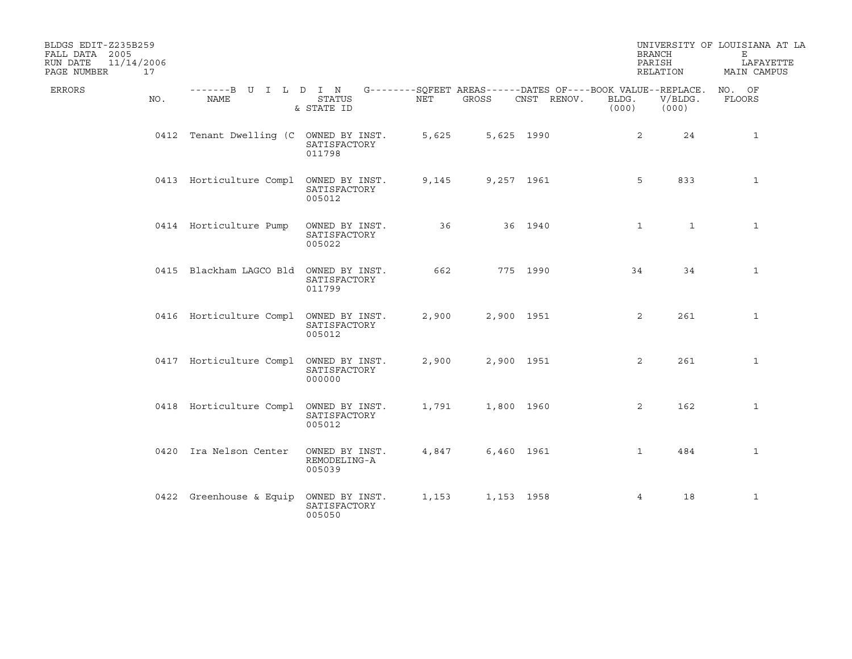| BLDGS EDIT-Z235B259<br>FALL DATA 2005<br>RUN DATE<br>PAGE NUMBER | 11/14/2006<br>17 |                                                                                          |                                          |       |            |             | <b>BRANCH</b><br>PARISH | RELATION         | UNIVERSITY OF LOUISIANA AT LA<br>Е<br>LAFAYETTE<br>MAIN CAMPUS |
|------------------------------------------------------------------|------------------|------------------------------------------------------------------------------------------|------------------------------------------|-------|------------|-------------|-------------------------|------------------|----------------------------------------------------------------|
| ERRORS                                                           | NO.              | -------B U I L D I N G--------SOFEET AREAS------DATES OF----BOOK VALUE--REPLACE.<br>NAME | <b>STATUS</b><br>& STATE ID              | NET   | GROSS      | CNST RENOV. | BLDG.<br>(000)          | V/BLDG.<br>(000) | NO. OF<br>FLOORS                                               |
|                                                                  |                  | 0412 Tenant Dwelling (C OWNED BY INST.                                                   | SATISFACTORY<br>011798                   | 5,625 | 5,625 1990 |             | 2                       | 24               | $\mathbf{1}$                                                   |
|                                                                  |                  | 0413 Horticulture Compl                                                                  | OWNED BY INST.<br>SATISFACTORY<br>005012 | 9,145 | 9,257 1961 |             | 5                       | 833              | $\mathbf{1}$                                                   |
|                                                                  |                  | 0414 Horticulture Pump                                                                   | OWNED BY INST.<br>SATISFACTORY<br>005022 | 36    |            | 36 1940     | $\mathbf{1}$            | $\mathbf{1}$     | $\mathbf{1}$                                                   |
|                                                                  |                  | 0415 Blackham LAGCO Bld OWNED BY INST.                                                   | SATISFACTORY<br>011799                   | 662   |            | 775 1990    | 34                      | 34               | $\mathbf{1}$                                                   |
|                                                                  |                  | 0416 Horticulture Compl OWNED BY INST.                                                   | SATISFACTORY<br>005012                   | 2,900 | 2,900 1951 |             | $\overline{2}$          | 261              | $\mathbf{1}$                                                   |
|                                                                  |                  | 0417 Horticulture Compl OWNED BY INST.                                                   | SATISFACTORY<br>000000                   | 2,900 | 2,900 1951 |             | 2                       | 261              | $\mathbf{1}$                                                   |
|                                                                  |                  | 0418 Horticulture Compl OWNED BY INST.                                                   | SATISFACTORY<br>005012                   | 1,791 | 1,800 1960 |             | $\overline{a}$          | 162              | $\mathbf{1}$                                                   |
|                                                                  |                  | 0420 Ira Nelson Center                                                                   | OWNED BY INST.<br>REMODELING-A<br>005039 | 4,847 | 6,460 1961 |             | $\mathbf{1}$            | 484              | $\mathbf{1}$                                                   |
|                                                                  |                  | 0422 Greenhouse & Equip                                                                  | OWNED BY INST.<br>SATISFACTORY<br>005050 | 1,153 | 1,153 1958 |             | $\overline{4}$          | 18               | $\mathbf{1}$                                                   |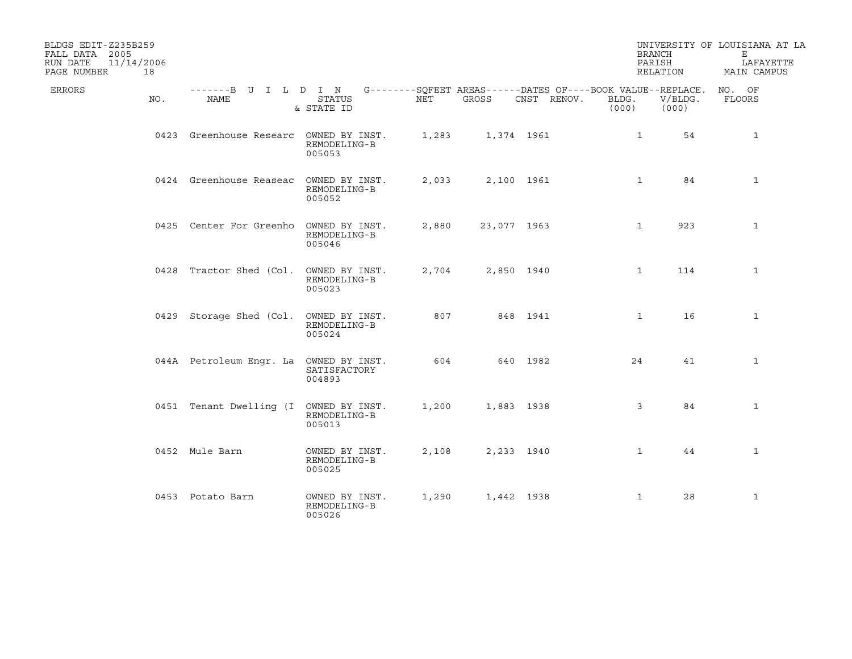| BLDGS EDIT-Z235B259<br>FALL DATA 2005<br>11/14/2006<br>RUN DATE<br>PAGE NUMBER<br>18 |                                                                                                 |                                          |       |             |             | <b>BRANCH</b><br>PARISH | RELATION         | UNIVERSITY OF LOUISIANA AT LA<br>E<br>LAFAYETTE<br>MAIN CAMPUS |
|--------------------------------------------------------------------------------------|-------------------------------------------------------------------------------------------------|------------------------------------------|-------|-------------|-------------|-------------------------|------------------|----------------------------------------------------------------|
| ERRORS<br>NO.                                                                        | -------B U I L D I N G--------SQFEET AREAS------DATES OF----BOOK VALUE--REPLACE. NO. OF<br>NAME | STATUS<br>& STATE ID                     | NET   | GROSS       | CNST RENOV. | BLDG.<br>(000)          | V/BLDG.<br>(000) | FLOORS                                                         |
|                                                                                      | 0423 Greenhouse Researc OWNED BY INST.                                                          | REMODELING-B<br>005053                   | 1,283 |             | 1,374 1961  | $\mathbf{1}$            | 54               | $\mathbf{1}$                                                   |
|                                                                                      | 0424 Greenhouse Reaseac                                                                         | OWNED BY INST.<br>REMODELING-B<br>005052 | 2,033 |             | 2,100 1961  | $\mathbf{1}$            | 84               | $\mathbf{1}$                                                   |
|                                                                                      | 0425 Center For Greenho OWNED BY INST.                                                          | REMODELING-B<br>005046                   | 2,880 | 23,077 1963 |             | 1                       | 923              | $\mathbf{1}$                                                   |
|                                                                                      | 0428 Tractor Shed (Col. OWNED BY INST.                                                          | REMODELING-B<br>005023                   | 2,704 |             | 2,850 1940  | $\mathbf{1}$            | 114              | $\mathbf{1}$                                                   |
|                                                                                      | 0429 Storage Shed (Col. OWNED BY INST.                                                          | REMODELING-B<br>005024                   | 807   |             | 848 1941    | $\mathbf{1}$            | 16               | $\mathbf{1}$                                                   |
|                                                                                      | 044A Petroleum Engr. La OWNED BY INST.                                                          | SATISFACTORY<br>004893                   | 604   |             | 640 1982    | 24                      | 41               | 1                                                              |
|                                                                                      | 0451 Tenant Dwelling (I OWNED BY INST.                                                          | REMODELING-B<br>005013                   | 1,200 | 1,883 1938  |             | $\mathbf{3}$            | 84               | $\mathbf{1}$                                                   |
|                                                                                      | 0452 Mule Barn                                                                                  | OWNED BY INST.<br>REMODELING-B<br>005025 | 2,108 |             | 2,233 1940  | $\mathbf{1}$            | 44               | $\mathbf{1}$                                                   |
|                                                                                      | 0453 Potato Barn                                                                                | OWNED BY INST.<br>REMODELING-B<br>005026 | 1,290 | 1,442 1938  |             | $\mathbf{1}$            | 28               | $\mathbf{1}$                                                   |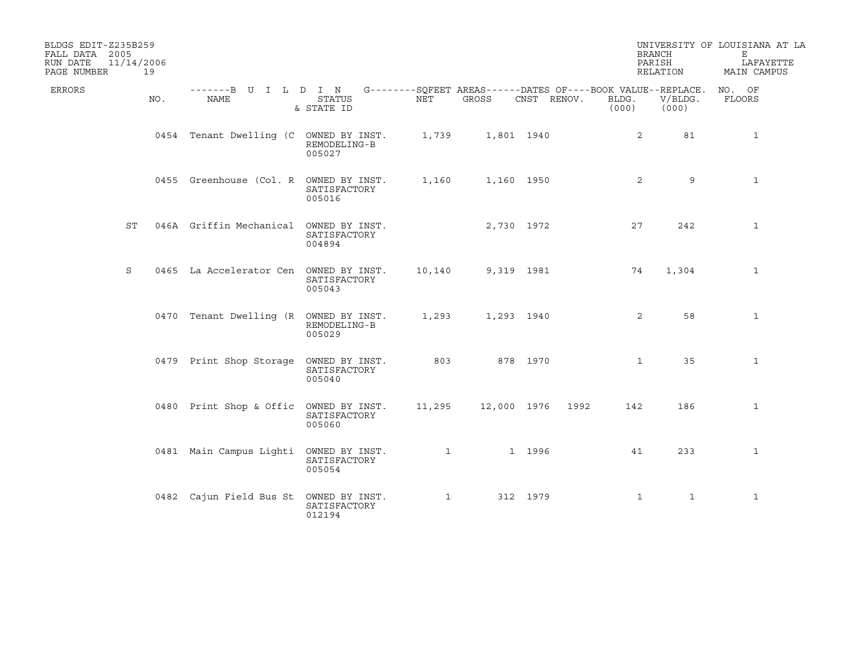| BLDGS EDIT-Z235B259<br>FALL DATA 2005<br>RUN DATE<br>PAGE NUMBER | 11/14/2006<br>19 |                                                                                                 |                        |        |                         |             |                | <b>BRANCH</b><br>PARISH<br>RELATION | UNIVERSITY OF LOUISIANA AT LA<br>Е<br>LAFAYETTE<br>MAIN CAMPUS |
|------------------------------------------------------------------|------------------|-------------------------------------------------------------------------------------------------|------------------------|--------|-------------------------|-------------|----------------|-------------------------------------|----------------------------------------------------------------|
| <b>ERRORS</b>                                                    | NO.              | -------B U I L D I N G--------SQFEET AREAS------DATES OF----BOOK VALUE--REPLACE. NO. OF<br>NAME | STATUS<br>& STATE ID   | NET    | GROSS                   | CNST RENOV. | BLDG.<br>(000) | $V/BLDG$ .<br>(000)                 | FLOORS                                                         |
|                                                                  |                  | 0454 Tenant Dwelling (C OWNED BY INST. 1,739                                                    | REMODELING-B<br>005027 |        |                         | 1,801 1940  | 2              | 81                                  | $\mathbf{1}$                                                   |
|                                                                  |                  | 0455 Greenhouse (Col. R OWNED BY INST.                                                          | SATISFACTORY<br>005016 | 1,160  |                         | 1,160 1950  | $\overline{2}$ | 9                                   | $\mathbf{1}$                                                   |
|                                                                  | ST               | 046A Griffin Mechanical OWNED BY INST.                                                          | SATISFACTORY<br>004894 |        |                         | 2,730 1972  | 27             | 242                                 | $\mathbf{1}$                                                   |
| S                                                                |                  | 0465 La Accelerator Cen OWNED BY INST.                                                          | SATISFACTORY<br>005043 | 10,140 |                         | 9,319 1981  | 74             | 1,304                               | $\mathbf{1}$                                                   |
|                                                                  |                  | 0470 Tenant Dwelling (R OWNED BY INST.                                                          | REMODELING-B<br>005029 | 1,293  |                         | 1,293 1940  | 2              | 58                                  | $\mathbf{1}$                                                   |
|                                                                  |                  | 0479 Print Shop Storage OWNED BY INST.                                                          | SATISFACTORY<br>005040 | 803    | 878 1970                |             | $\mathbf{1}$   | 35                                  | 1                                                              |
|                                                                  |                  | 0480 Print Shop & Offic OWNED BY INST.                                                          | SATISFACTORY<br>005060 |        | 11,295 12,000 1976 1992 |             | 142            | 186                                 | $\mathbf{1}$                                                   |
|                                                                  |                  | 0481 Main Campus Lighti OWNED BY INST.                                                          | SATISFACTORY<br>005054 |        |                         | 1 1996      | 41             | 233                                 | $\mathbf{1}$                                                   |
|                                                                  |                  | 0482 Cajun Field Bus St OWNED BY INST.                                                          | SATISFACTORY<br>012194 |        | $1 \qquad \qquad$       | 312 1979    | $\mathbf{1}$   | $\mathbf{1}$                        | $\mathbf{1}$                                                   |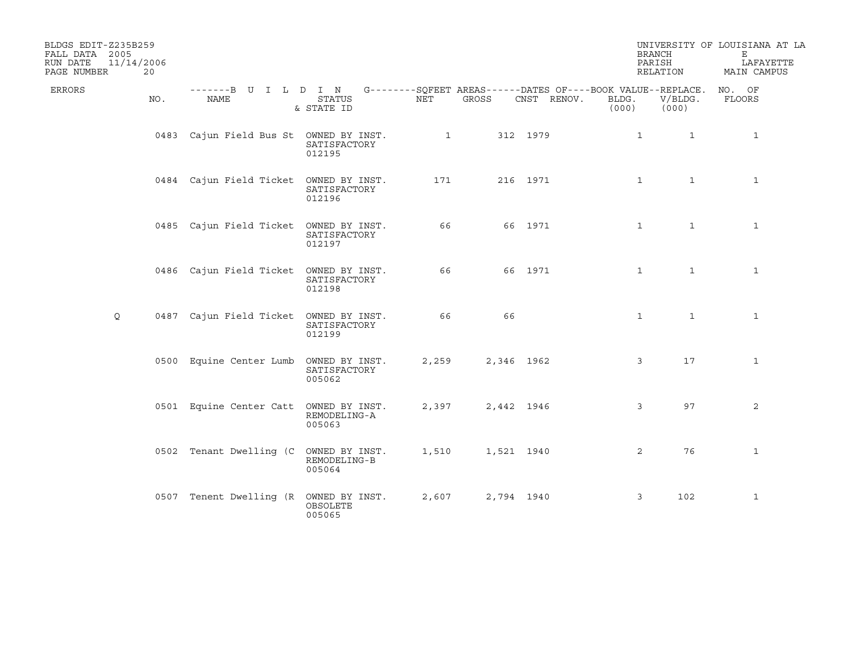| BLDGS EDIT-Z235B259<br>FALL DATA 2005<br>RUN DATE<br>PAGE NUMBER | 11/14/2006<br>20 |                                                                                          |                             |              |            |             | <b>BRANCH</b><br>PARISH<br>RELATION |                  | UNIVERSITY OF LOUISIANA AT LA<br>Е<br>LAFAYETTE<br>MAIN CAMPUS |
|------------------------------------------------------------------|------------------|------------------------------------------------------------------------------------------|-----------------------------|--------------|------------|-------------|-------------------------------------|------------------|----------------------------------------------------------------|
| <b>ERRORS</b>                                                    | NO.              | -------B U I L D I N G--------SQFEET AREAS------DATES OF----BOOK VALUE--REPLACE.<br>NAME | <b>STATUS</b><br>& STATE ID | NET          | GROSS      | CNST RENOV. | BLDG.<br>(000)                      | V/BLDG.<br>(000) | NO. OF<br>FLOORS                                               |
|                                                                  |                  | 0483 Cajun Field Bus St OWNED BY INST.                                                   | SATISFACTORY<br>012195      | $\mathbf{1}$ |            | 312 1979    | 1                                   | $\mathbf{1}$     | 1                                                              |
|                                                                  |                  | 0484 Cajun Field Ticket OWNED BY INST.                                                   | SATISFACTORY<br>012196      | 171          |            | 216 1971    | $\mathbf{1}$                        | $\mathbf{1}$     | $\mathbf{1}$                                                   |
|                                                                  |                  | 0485 Cajun Field Ticket OWNED BY INST.                                                   | SATISFACTORY<br>012197      | 66           |            | 66 1971     | $\mathbf{1}$                        | $\mathbf{1}$     | $\mathbf{1}$                                                   |
|                                                                  |                  | 0486 Cajun Field Ticket OWNED BY INST.                                                   | SATISFACTORY<br>012198      | 66           |            | 66 1971     | $\mathbf{1}$                        | $\mathbf{1}$     | $\mathbf{1}$                                                   |
| Q                                                                |                  | 0487 Cajun Field Ticket OWNED BY INST.                                                   | SATISFACTORY<br>012199      | 66           | 66         |             | $\mathbf{1}$                        | $\mathbf{1}$     | $\mathbf{1}$                                                   |
|                                                                  |                  | 0500 Equine Center Lumb OWNED BY INST.                                                   | SATISFACTORY<br>005062      | 2,259        | 2,346 1962 |             | 3                                   | 17               | $\mathbf{1}$                                                   |
|                                                                  |                  | 0501 Equine Center Catt OWNED BY INST.                                                   | REMODELING-A<br>005063      | 2,397        | 2,442 1946 |             | 3                                   | 97               | 2                                                              |
|                                                                  |                  | 0502 Tenant Dwelling (C OWNED BY INST.                                                   | REMODELING-B<br>005064      | 1,510        | 1,521 1940 |             | $\overline{2}$                      | 76               | $\mathbf{1}$                                                   |
|                                                                  |                  | 0507 Tenent Dwelling (R OWNED BY INST.                                                   | OBSOLETE<br>005065          | 2,607        | 2,794 1940 |             | 3                                   | 102              | $\mathbf{1}$                                                   |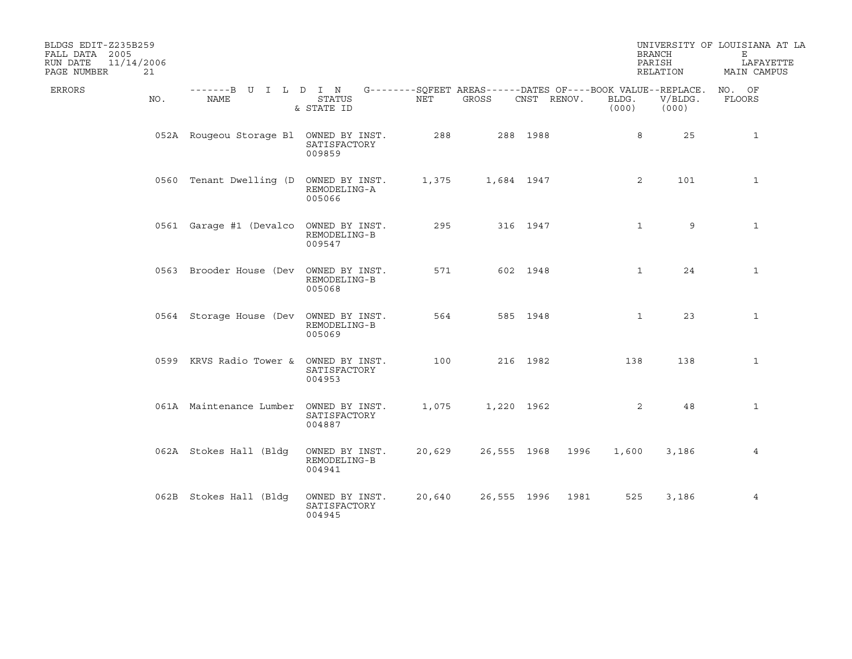| BLDGS EDIT-Z235B259<br>FALL DATA 2005<br>11/14/2006<br>RUN DATE<br>PAGE NUMBER<br>21 |                                                                                          |                                          |        |             |             |                | <b>BRANCH</b><br>PARISH<br>RELATION | UNIVERSITY OF LOUISIANA AT LA<br>Е<br>LAFAYETTE<br>MAIN CAMPUS |
|--------------------------------------------------------------------------------------|------------------------------------------------------------------------------------------|------------------------------------------|--------|-------------|-------------|----------------|-------------------------------------|----------------------------------------------------------------|
| ERRORS<br>NO.                                                                        | -------B U I L D I N G--------SQFEET AREAS------DATES OF----BOOK VALUE--REPLACE.<br>NAME | <b>STATUS</b><br>& STATE ID              | NET    | GROSS       | CNST RENOV. | BLDG.<br>(000) | V/BLDG.<br>(000)                    | NO. OF<br>FLOORS                                               |
|                                                                                      | 052A Rougeou Storage Bl OWNED BY INST.                                                   | SATISFACTORY<br>009859                   | 288    |             | 288 1988    |                | 25<br>8                             | $\mathbf{1}$                                                   |
|                                                                                      | 0560 Tenant Dwelling (D OWNED BY INST.                                                   | REMODELING-A<br>005066                   | 1,375  | 1,684 1947  |             |                | 2<br>101                            | $\mathbf{1}$                                                   |
|                                                                                      | 0561 Garage #1 (Devalco OWNED BY INST.                                                   | REMODELING-B<br>009547                   | 295    |             | 316 1947    |                | 9<br>$\mathbf{1}$                   | $\mathbf{1}$                                                   |
|                                                                                      | 0563 Brooder House (Dev OWNED BY INST.                                                   | REMODELING-B<br>005068                   | 571    |             | 602 1948    |                | 24<br>$\mathbf{1}$                  | $\mathbf{1}$                                                   |
|                                                                                      | 0564 Storage House (Dev OWNED BY INST.                                                   | REMODELING-B<br>005069                   | 564    |             | 585 1948    |                | $\mathbf{1}$<br>23                  | $\mathbf{1}$                                                   |
|                                                                                      | 0599 KRVS Radio Tower &                                                                  | OWNED BY INST.<br>SATISFACTORY<br>004953 | 100    |             | 216 1982    | 138            | 138                                 | $\mathbf{1}$                                                   |
|                                                                                      | 061A Maintenance Lumber                                                                  | OWNED BY INST.<br>SATISFACTORY<br>004887 | 1,075  | 1,220 1962  |             |                | 2<br>48                             | $\mathbf{1}$                                                   |
|                                                                                      | 062A Stokes Hall (Bldg                                                                   | OWNED BY INST.<br>REMODELING-B<br>004941 | 20,629 | 26,555 1968 |             | 1996<br>1,600  | 3,186                               | 4                                                              |
|                                                                                      | 062B Stokes Hall (Bldg                                                                   | OWNED BY INST.<br>SATISFACTORY<br>004945 | 20,640 | 26,555 1996 |             | 1981           | 525<br>3,186                        | $\overline{4}$                                                 |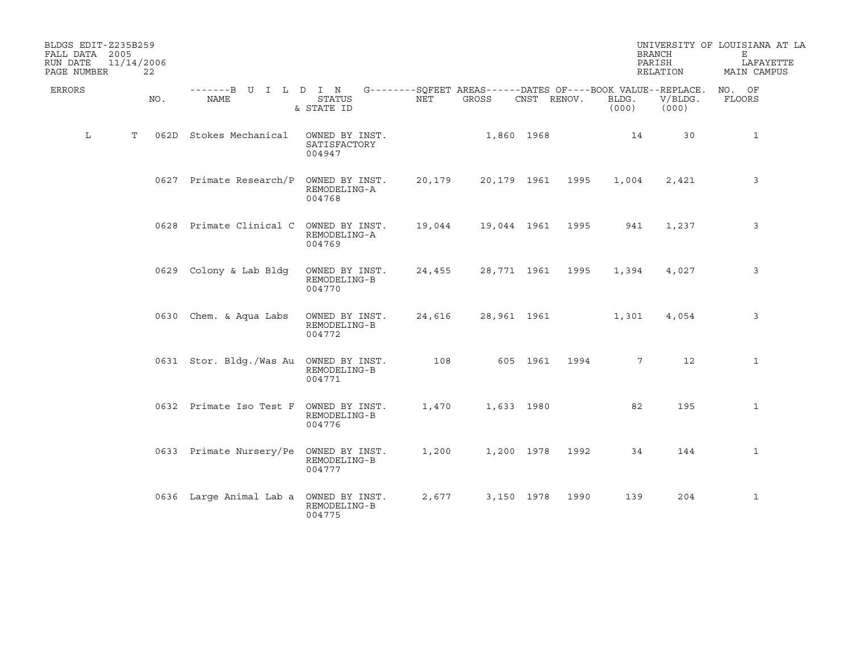| BLDGS EDIT-Z235B259<br>FALL DATA 2005<br>RUN DATE<br>PAGE NUMBER | 11/14/2006<br>22 |                              |                                          |        |                                                                      |             |      |                | <b>BRANCH</b><br>PARISH<br>RELATION | UNIVERSITY OF LOUISIANA AT LA<br>Е<br>LAFAYETTE<br>MAIN CAMPUS |
|------------------------------------------------------------------|------------------|------------------------------|------------------------------------------|--------|----------------------------------------------------------------------|-------------|------|----------------|-------------------------------------|----------------------------------------------------------------|
| <b>ERRORS</b>                                                    | NO.              | -------B U I L D I N<br>NAME | <b>STATUS</b><br>& STATE ID              | NET    | G--------SQFEET AREAS------DATES OF----BOOK VALUE--REPLACE.<br>GROSS | CNST RENOV. |      | BLDG.<br>(000) | V/BLDG.<br>(000)                    | NO. OF<br>FLOORS                                               |
| L                                                                | T                | 062D Stokes Mechanical       | OWNED BY INST.<br>SATISFACTORY<br>004947 |        |                                                                      | 1,860 1968  |      | 14             | 30                                  | $\mathbf{1}$                                                   |
|                                                                  |                  | 0627 Primate Research/P      | OWNED BY INST.<br>REMODELING-A<br>004768 | 20,179 | 20,179 1961                                                          |             | 1995 | 1,004          | 2,421                               | 3                                                              |
|                                                                  |                  | 0628 Primate Clinical C      | OWNED BY INST.<br>REMODELING-A<br>004769 | 19,044 | 19,044 1961                                                          |             | 1995 | 941            | 1,237                               | 3                                                              |
|                                                                  |                  | 0629 Colony & Lab Bldg       | OWNED BY INST.<br>REMODELING-B<br>004770 | 24,455 | 28,771 1961                                                          |             | 1995 | 1,394          | 4,027                               | 3                                                              |
|                                                                  |                  | 0630 Chem. & Aqua Labs       | OWNED BY INST.<br>REMODELING-B<br>004772 | 24,616 | 28,961 1961                                                          |             |      | 1,301          | 4,054                               | 3                                                              |
|                                                                  |                  | 0631 Stor. Bldg./Was Au      | OWNED BY INST.<br>REMODELING-B<br>004771 | 108    |                                                                      | 605 1961    | 1994 | 7 <sup>7</sup> | 12                                  | $\mathbf{1}$                                                   |
|                                                                  |                  | 0632 Primate Iso Test F      | OWNED BY INST.<br>REMODELING-B<br>004776 | 1,470  |                                                                      | 1,633 1980  |      | 82             | 195                                 | $\mathbf{1}$                                                   |
|                                                                  |                  | 0633 Primate Nursery/Pe      | OWNED BY INST.<br>REMODELING-B<br>004777 | 1,200  |                                                                      | 1,200 1978  | 1992 | 34             | 144                                 | $\mathbf{1}$                                                   |
|                                                                  |                  | 0636 Large Animal Lab a      | OWNED BY INST.<br>REMODELING-B<br>004775 | 2,677  |                                                                      | 3,150 1978  | 1990 | 139            | 204                                 | $\mathbf{1}$                                                   |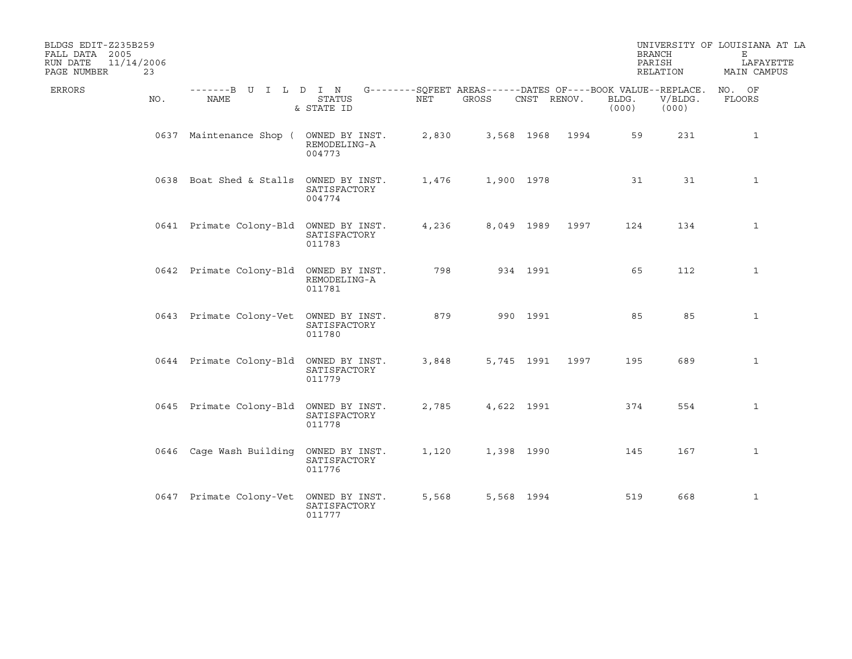| BLDGS EDIT-Z235B259<br>FALL DATA 2005<br>11/14/2006<br>RUN DATE<br>PAGE NUMBER<br>23 |                                        |                             |       |                                                                             |                 |      |                | <b>BRANCH</b><br>PARISH<br>RELATION | UNIVERSITY OF LOUISIANA AT LA<br>Е<br>LAFAYETTE<br>MAIN CAMPUS |
|--------------------------------------------------------------------------------------|----------------------------------------|-----------------------------|-------|-----------------------------------------------------------------------------|-----------------|------|----------------|-------------------------------------|----------------------------------------------------------------|
| ERRORS<br>NO.                                                                        | -------B U I L D I N<br>NAME           | <b>STATUS</b><br>& STATE ID | NET   | G--------SQFEET AREAS------DATES OF----BOOK VALUE--REPLACE. NO. OF<br>GROSS | CNST RENOV.     |      | BLDG.<br>(000) | V/BLDG.<br>(000)                    | FLOORS                                                         |
|                                                                                      | 0637 Maintenance Shop ( OWNED BY INST. | REMODELING-A<br>004773      | 2,830 |                                                                             | 3,568 1968 1994 |      | 59             | 231                                 | $\mathbf{1}$                                                   |
|                                                                                      | 0638 Boat Shed & Stalls OWNED BY INST. | SATISFACTORY<br>004774      | 1,476 | 1,900 1978                                                                  |                 |      | 31             | 31                                  | $\mathbf{1}$                                                   |
|                                                                                      | 0641 Primate Colony-Bld OWNED BY INST. | SATISFACTORY<br>011783      | 4,236 |                                                                             | 8,049 1989      | 1997 | 124            | 134                                 | $\mathbf{1}$                                                   |
|                                                                                      | 0642 Primate Colony-Bld OWNED BY INST. | REMODELING-A<br>011781      | 798   |                                                                             | 934 1991        |      | 65             | 112                                 | $\mathbf{1}$                                                   |
|                                                                                      | 0643 Primate Colony-Vet OWNED BY INST. | SATISFACTORY<br>011780      | 879   |                                                                             | 990 1991        |      | 85             | 85                                  | 1                                                              |
|                                                                                      | 0644 Primate Colony-Bld OWNED BY INST. | SATISFACTORY<br>011779      | 3,848 |                                                                             | 5,745 1991      | 1997 | 195            | 689                                 | $\mathbf{1}$                                                   |
|                                                                                      | 0645 Primate Colony-Bld OWNED BY INST. | SATISFACTORY<br>011778      | 2,785 |                                                                             | 4,622 1991      |      | 374            | 554                                 | $\mathbf{1}$                                                   |
|                                                                                      | 0646 Cage Wash Building OWNED BY INST. | SATISFACTORY<br>011776      | 1,120 |                                                                             | 1,398 1990      |      | 145            | 167                                 | 1                                                              |
|                                                                                      | 0647 Primate Colony-Vet OWNED BY INST. | SATISFACTORY<br>011777      | 5,568 |                                                                             | 5,568 1994      |      | 519            | 668                                 | $\mathbf 1$                                                    |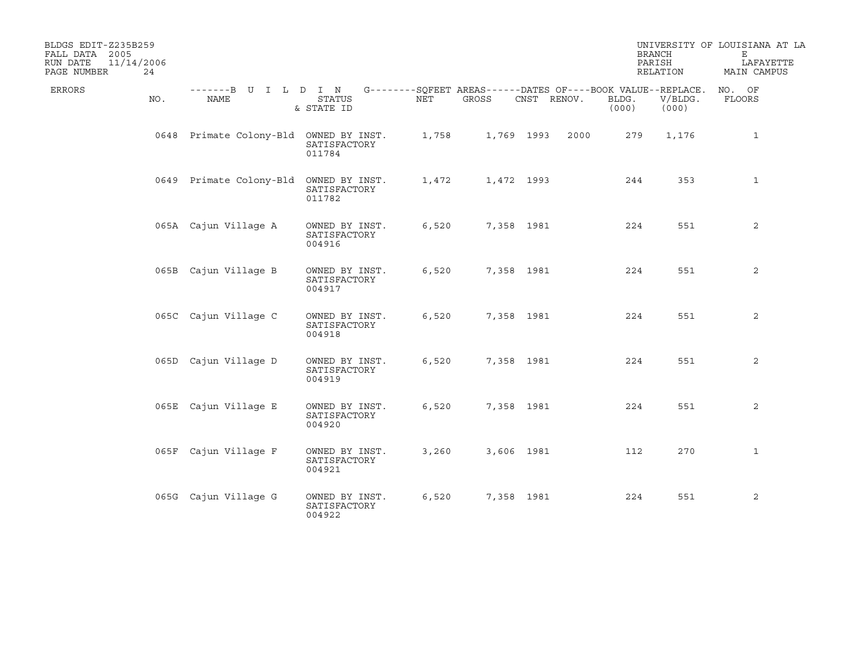| BLDGS EDIT-Z235B259<br>FALL DATA 2005<br>11/14/2006<br>RUN DATE<br>PAGE NUMBER<br>24 |                                        |                                          |       |            |                                                                            |                | <b>BRANCH</b><br>PARISH<br>RELATION | UNIVERSITY OF LOUISIANA AT LA<br>Е<br>LAFAYETTE<br>MAIN CAMPUS |
|--------------------------------------------------------------------------------------|----------------------------------------|------------------------------------------|-------|------------|----------------------------------------------------------------------------|----------------|-------------------------------------|----------------------------------------------------------------|
| ERRORS<br>NO.                                                                        | -------B U I L D I N<br>NAME           | <b>STATUS</b><br>& STATE ID              | NET   | GROSS      | G--------SQFEET AREAS------DATES OF----BOOK VALUE--REPLACE.<br>CNST RENOV. | BLDG.<br>(000) | V/BLDG.<br>(000)                    | NO. OF<br>FLOORS                                               |
|                                                                                      | 0648 Primate Colony-Bld OWNED BY INST. | SATISFACTORY<br>011784                   | 1,758 |            | 1,769 1993<br>2000                                                         | 279            | 1,176                               | $\mathbf{1}$                                                   |
|                                                                                      | 0649 Primate Colony-Bld OWNED BY INST. | SATISFACTORY<br>011782                   | 1,472 | 1,472 1993 |                                                                            | 244            | 353                                 | $\mathbf{1}$                                                   |
|                                                                                      | 065A Cajun Village A                   | OWNED BY INST.<br>SATISFACTORY<br>004916 | 6,520 |            | 7,358 1981                                                                 | 224            | 551                                 | 2                                                              |
|                                                                                      | 065B Cajun Village B                   | OWNED BY INST.<br>SATISFACTORY<br>004917 | 6,520 |            | 7,358 1981                                                                 | 224            | 551                                 | 2                                                              |
|                                                                                      | 065C Cajun Village C                   | OWNED BY INST.<br>SATISFACTORY<br>004918 | 6,520 |            | 7,358 1981                                                                 | 224            | 551                                 | 2                                                              |
|                                                                                      | 065D Cajun Village D                   | OWNED BY INST.<br>SATISFACTORY<br>004919 | 6,520 |            | 7,358 1981                                                                 | 224            | 551                                 | 2                                                              |
|                                                                                      | 065E Cajun Village E                   | OWNED BY INST.<br>SATISFACTORY<br>004920 | 6,520 |            | 7,358 1981                                                                 | 224            | 551                                 | 2                                                              |
|                                                                                      | 065F Cajun Village F                   | OWNED BY INST.<br>SATISFACTORY<br>004921 | 3,260 |            | 3,606 1981                                                                 | 112            | 270                                 | $\mathbf{1}$                                                   |
|                                                                                      | 065G Cajun Village G                   | OWNED BY INST.<br>SATISFACTORY<br>004922 | 6,520 | 7,358 1981 |                                                                            | 224            | 551                                 | 2                                                              |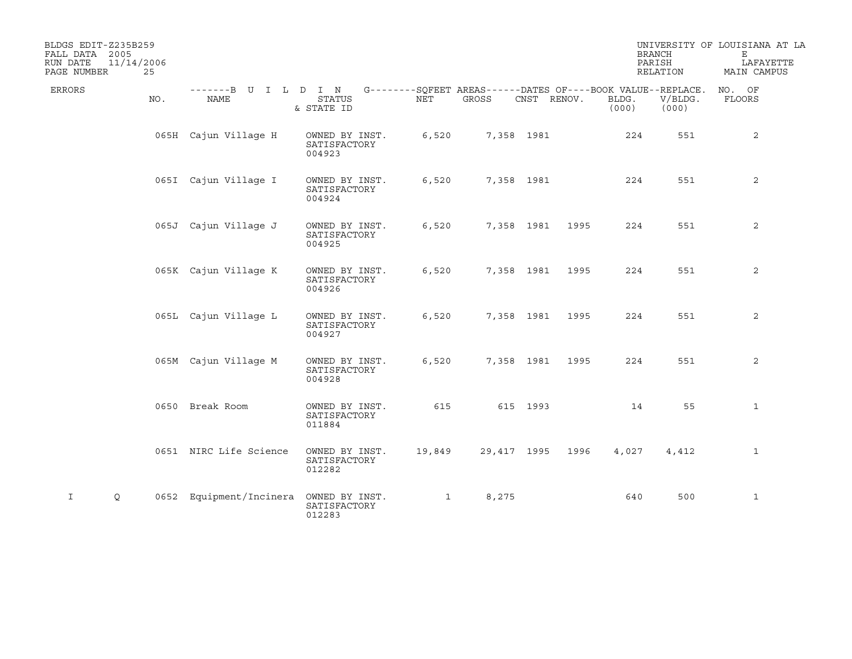| BLDGS EDIT-Z235B259<br>FALL DATA 2005<br>11/14/2006<br>RUN DATE<br>PAGE NUMBER | 25  |                              |                                          |                                                                    |             |             |      |                | <b>BRANCH</b><br>PARISH<br>RELATION | UNIVERSITY OF LOUISIANA AT LA<br>Е<br>LAFAYETTE<br>MAIN CAMPUS |
|--------------------------------------------------------------------------------|-----|------------------------------|------------------------------------------|--------------------------------------------------------------------|-------------|-------------|------|----------------|-------------------------------------|----------------------------------------------------------------|
| ERRORS                                                                         | NO. | -------B U I L D I N<br>NAME | <b>STATUS</b><br>& STATE ID              | G--------SQFEET AREAS------DATES OF----BOOK VALUE--REPLACE.<br>NET | GROSS       | CNST RENOV. |      | BLDG.<br>(000) | V/BLDG.<br>(000)                    | NO. OF<br>FLOORS                                               |
|                                                                                |     | 065H Cajun Village H         | OWNED BY INST.<br>SATISFACTORY<br>004923 | 6,520                                                              |             | 7,358 1981  |      | 224            | 551                                 | 2                                                              |
|                                                                                |     | 065I Cajun Village I         | OWNED BY INST.<br>SATISFACTORY<br>004924 | 6,520                                                              |             | 7,358 1981  |      | 224            | 551                                 | 2                                                              |
|                                                                                |     | 065J Cajun Village J         | OWNED BY INST.<br>SATISFACTORY<br>004925 | 6,520                                                              |             | 7,358 1981  | 1995 | 224            | 551                                 | 2                                                              |
|                                                                                |     | 065K Cajun Village K         | OWNED BY INST.<br>SATISFACTORY<br>004926 | 6,520                                                              |             | 7,358 1981  | 1995 | 224            | 551                                 | $\overline{2}$                                                 |
|                                                                                |     | 065L Cajun Village L         | OWNED BY INST.<br>SATISFACTORY<br>004927 | 6,520                                                              |             | 7,358 1981  | 1995 | 224            | 551                                 | 2                                                              |
|                                                                                |     | 065M Cajun Village M         | OWNED BY INST.<br>SATISFACTORY<br>004928 | 6,520                                                              |             | 7,358 1981  | 1995 | 224            | 551                                 | 2                                                              |
|                                                                                |     | 0650 Break Room              | OWNED BY INST.<br>SATISFACTORY<br>011884 | 615                                                                |             | 615 1993    |      | 14             | 55                                  | $\mathbf{1}$                                                   |
|                                                                                |     | 0651 NIRC Life Science       | OWNED BY INST.<br>SATISFACTORY<br>012282 | 19,849                                                             | 29,417 1995 |             | 1996 | 4,027          | 4,412                               | $\mathbf{1}$                                                   |
| Q<br>I                                                                         |     | 0652 Equipment/Incinera      | OWNED BY INST.<br>SATISFACTORY<br>012283 | $\mathbf{1}$                                                       | 8,275       |             |      | 640            | 500                                 | $\mathbf{1}$                                                   |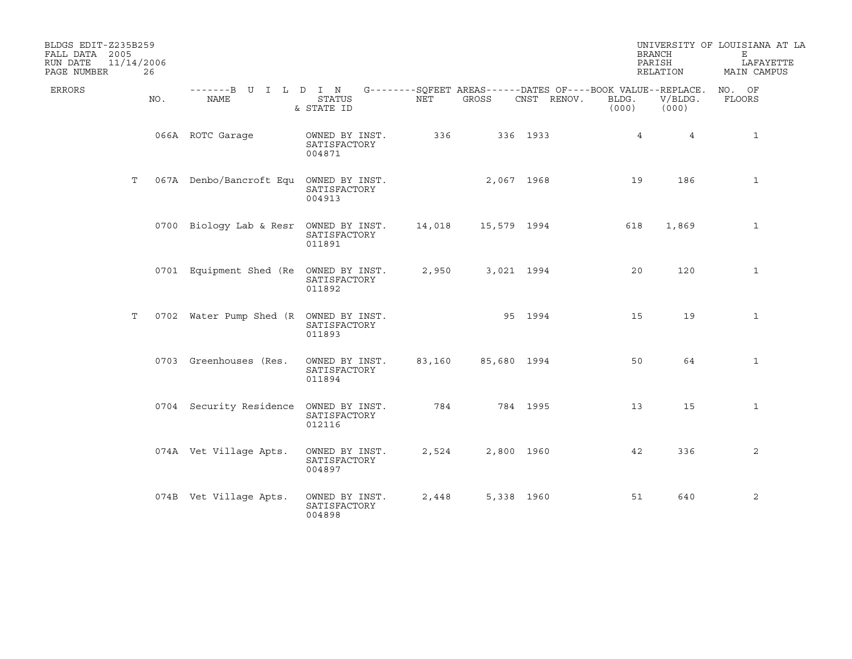| BLDGS EDIT-Z235B259<br>FALL DATA 2005<br>RUN DATE<br>PAGE NUMBER | 11/14/2006<br>26 |                                                                                          |                                          |        |             |             | <b>BRANCH</b><br>PARISH | RELATION         | UNIVERSITY OF LOUISIANA AT LA<br>Е<br>LAFAYETTE<br>MAIN CAMPUS |
|------------------------------------------------------------------|------------------|------------------------------------------------------------------------------------------|------------------------------------------|--------|-------------|-------------|-------------------------|------------------|----------------------------------------------------------------|
| ERRORS                                                           | NO.              | -------B U I L D I N G--------SOFEET AREAS------DATES OF----BOOK VALUE--REPLACE.<br>NAME | <b>STATUS</b><br>& STATE ID              | NET    | GROSS       | CNST RENOV. | BLDG.<br>(000)          | V/BLDG.<br>(000) | NO. OF<br>FLOORS                                               |
|                                                                  |                  | 066A ROTC Garage                                                                         | OWNED BY INST.<br>SATISFACTORY<br>004871 | 336    |             | 336 1933    | $4\overline{ }$         | $4\overline{ }$  | $\mathbf{1}$                                                   |
|                                                                  | Т                | 067A Denbo/Bancroft Equ OWNED BY INST.                                                   | SATISFACTORY<br>004913                   |        | 2,067 1968  |             | 19                      | 186              | $\mathbf{1}$                                                   |
|                                                                  |                  | 0700 Biology Lab & Resr OWNED BY INST.                                                   | SATISFACTORY<br>011891                   | 14,018 | 15,579 1994 |             | 618                     | 1,869            | 1                                                              |
|                                                                  |                  | 0701 Equipment Shed (Re OWNED BY INST.                                                   | SATISFACTORY<br>011892                   | 2,950  | 3,021 1994  |             | 20                      | 120              | $\mathbf{1}$                                                   |
|                                                                  | Т                | 0702 Water Pump Shed (R OWNED BY INST.                                                   | SATISFACTORY<br>011893                   |        | 95 1994     |             | 15                      | 19               | $\mathbf{1}$                                                   |
|                                                                  |                  | 0703 Greenhouses (Res.                                                                   | OWNED BY INST.<br>SATISFACTORY<br>011894 | 83,160 | 85,680 1994 |             | 50                      | 64               | $\mathbf{1}$                                                   |
|                                                                  |                  | 0704 Security Residence                                                                  | OWNED BY INST.<br>SATISFACTORY<br>012116 | 784    |             | 784 1995    | 13                      | 15               | $\mathbf{1}$                                                   |
|                                                                  |                  | 074A Vet Village Apts.                                                                   | OWNED BY INST.<br>SATISFACTORY<br>004897 | 2,524  | 2,800 1960  |             | 42                      | 336              | 2                                                              |
|                                                                  |                  | 074B Vet Village Apts.                                                                   | OWNED BY INST.<br>SATISFACTORY<br>004898 | 2,448  | 5,338 1960  |             | 51                      | 640              | 2                                                              |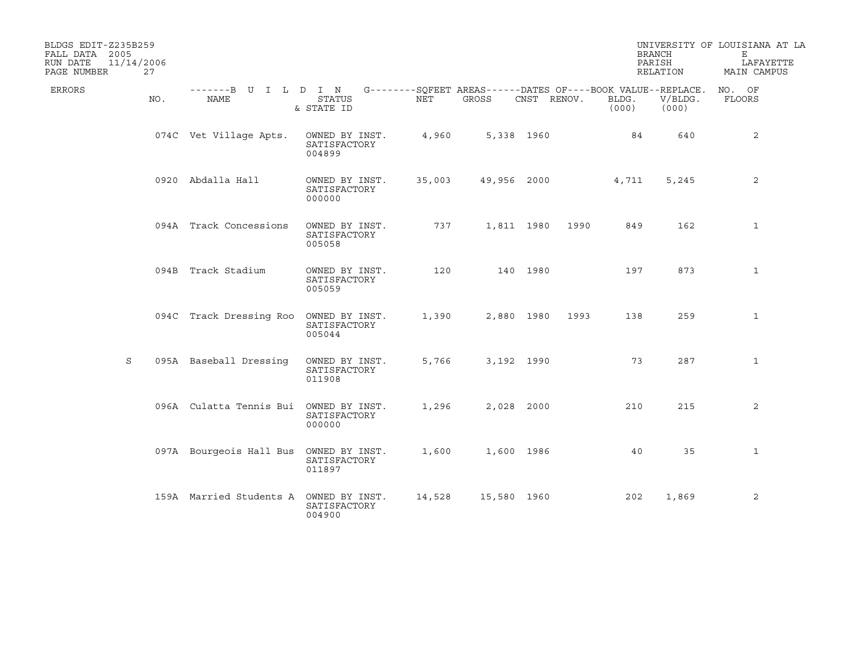| BLDGS EDIT-Z235B259<br>FALL DATA 2005<br>RUN DATE<br>PAGE NUMBER | 11/14/2006<br>27 |                                        |                                          |        |                                                                            |             |      |                | <b>BRANCH</b><br>PARISH<br>RELATION | UNIVERSITY OF LOUISIANA AT LA<br>Е<br>LAFAYETTE<br>MAIN CAMPUS |
|------------------------------------------------------------------|------------------|----------------------------------------|------------------------------------------|--------|----------------------------------------------------------------------------|-------------|------|----------------|-------------------------------------|----------------------------------------------------------------|
| ERRORS                                                           | NO.              | -------B U I L D I N<br>NAME           | <b>STATUS</b><br>& STATE ID              | NET    | $G$ -------- $SQFERT$ AREAS------DATES OF----BOOK VALUE--REPLACE.<br>GROSS | CNST RENOV. |      | BLDG.<br>(000) | V/BLDG.<br>(000)                    | NO. OF<br>FLOORS                                               |
|                                                                  |                  | 074C Vet Village Apts.                 | OWNED BY INST.<br>SATISFACTORY<br>004899 | 4,960  |                                                                            | 5,338 1960  |      | 84             | 640                                 | 2                                                              |
|                                                                  |                  | 0920 Abdalla Hall                      | OWNED BY INST.<br>SATISFACTORY<br>000000 | 35,003 | 49,956 2000                                                                |             |      | 4,711          | 5,245                               | 2                                                              |
|                                                                  |                  | 094A Track Concessions                 | OWNED BY INST.<br>SATISFACTORY<br>005058 | 737    |                                                                            | 1,811 1980  | 1990 | 849            | 162                                 | $\mathbf{1}$                                                   |
|                                                                  |                  | 094B Track Stadium                     | OWNED BY INST.<br>SATISFACTORY<br>005059 | 120    |                                                                            | 140 1980    |      | 197            | 873                                 | $\mathbf{1}$                                                   |
|                                                                  |                  | 094C Track Dressing Roo                | OWNED BY INST.<br>SATISFACTORY<br>005044 | 1,390  |                                                                            | 2,880 1980  | 1993 | 138            | 259                                 | $\mathbf{1}$                                                   |
| S                                                                |                  | 095A Baseball Dressing                 | OWNED BY INST.<br>SATISFACTORY<br>011908 | 5,766  | 3,192 1990                                                                 |             |      | 73             | 287                                 | $\mathbf{1}$                                                   |
|                                                                  |                  | 096A Culatta Tennis Bui                | OWNED BY INST.<br>SATISFACTORY<br>000000 | 1,296  | 2,028 2000                                                                 |             |      | 210            | 215                                 | 2                                                              |
|                                                                  |                  | 097A Bourgeois Hall Bus OWNED BY INST. | SATISFACTORY<br>011897                   | 1,600  |                                                                            | 1,600 1986  |      | 40             | 35                                  | $\mathbf{1}$                                                   |
|                                                                  |                  | 159A Married Students A OWNED BY INST. | SATISFACTORY<br>004900                   | 14,528 | 15,580 1960                                                                |             |      | 202            | 1,869                               | 2                                                              |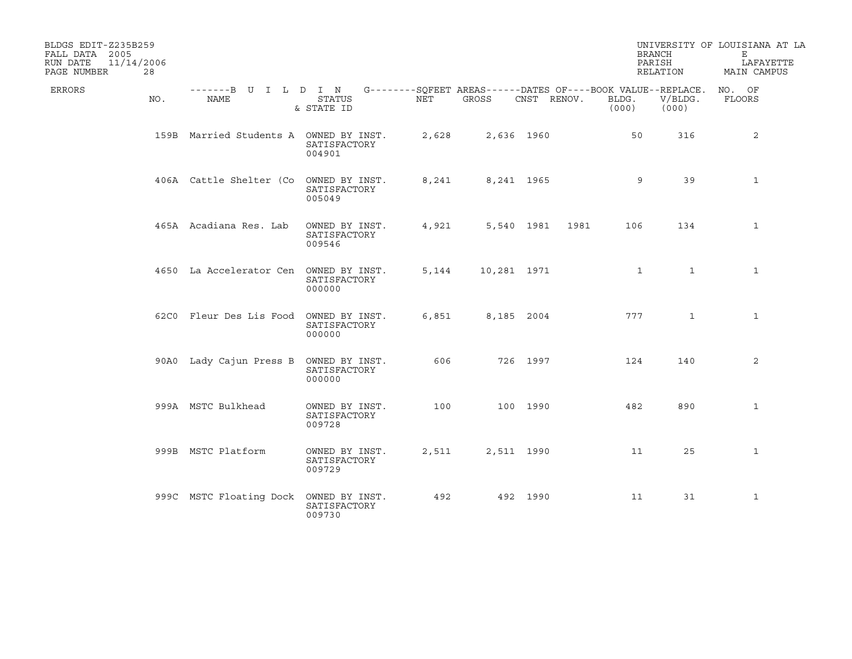| BLDGS EDIT-Z235B259<br>FALL DATA 2005<br>11/14/2006<br>RUN DATE<br>PAGE NUMBER | 28  |                                                                                          |                                          |       |             |             |      | PARISH         | <b>BRANCH</b><br>RELATION | UNIVERSITY OF LOUISIANA AT LA<br>Е<br>LAFAYETTE<br>MAIN CAMPUS |
|--------------------------------------------------------------------------------|-----|------------------------------------------------------------------------------------------|------------------------------------------|-------|-------------|-------------|------|----------------|---------------------------|----------------------------------------------------------------|
| ERRORS                                                                         | NO. | -------B U I L D I N G--------SQFEET AREAS------DATES OF----BOOK VALUE--REPLACE.<br>NAME | <b>STATUS</b><br>& STATE ID              | NET   | GROSS       | CNST RENOV. |      | BLDG.<br>(000) | V/BLDG.<br>(000)          | NO. OF<br>FLOORS                                               |
|                                                                                |     | 159B Married Students A OWNED BY INST.                                                   | SATISFACTORY<br>004901                   | 2,628 |             | 2,636 1960  |      | 50             | 316                       | 2                                                              |
|                                                                                |     | 406A Cattle Shelter (Co                                                                  | OWNED BY INST.<br>SATISFACTORY<br>005049 | 8,241 |             | 8,241 1965  |      | 9              | 39                        | $\mathbf{1}$                                                   |
|                                                                                |     | 465A Acadiana Res. Lab                                                                   | OWNED BY INST.<br>SATISFACTORY<br>009546 | 4,921 |             | 5,540 1981  | 1981 | 106            | 134                       | $\mathbf{1}$                                                   |
|                                                                                |     | 4650 La Accelerator Cen OWNED BY INST.                                                   | SATISFACTORY<br>000000                   | 5,144 | 10,281 1971 |             |      | $\mathbf{1}$   | $\mathbf{1}$              | $\mathbf{1}$                                                   |
|                                                                                |     | 62C0 Fleur Des Lis Food OWNED BY INST.                                                   | SATISFACTORY<br>000000                   | 6,851 | 8,185 2004  |             |      | 777            | $\mathbf{1}$              | $\mathbf{1}$                                                   |
|                                                                                |     | 90A0 Lady Cajun Press B OWNED BY INST.                                                   | SATISFACTORY<br>000000                   | 606   |             | 726 1997    |      | 124            | 140                       | 2                                                              |
|                                                                                |     | 999A MSTC Bulkhead                                                                       | OWNED BY INST.<br>SATISFACTORY<br>009728 | 100   |             | 100 1990    |      | 482            | 890                       | $\mathbf{1}$                                                   |
|                                                                                |     | 999B MSTC Platform                                                                       | OWNED BY INST.<br>SATISFACTORY<br>009729 | 2,511 |             | 2,511 1990  |      | 11             | 25                        | $\mathbf{1}$                                                   |
|                                                                                |     | 999C MSTC Floating Dock                                                                  | OWNED BY INST.<br>SATISFACTORY<br>009730 | 492   |             | 492 1990    |      | 11             | 31                        | $\mathbf{1}$                                                   |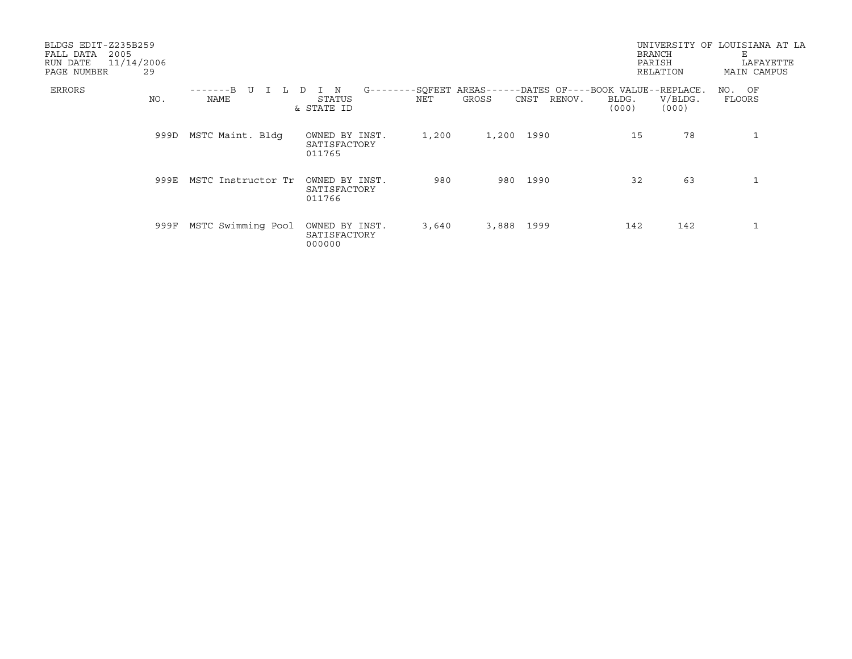| BLDGS EDIT-Z235B259<br>FALL DATA<br>2005<br>11/14/2006<br>RUN DATE<br>PAGE NUMBER | 29   |                    |                                                       |                |                         | <b>BRANCH</b><br>PARISH<br>RELATION                                               | UNIVERSITY OF LOUISIANA AT LA<br>Е<br>LAFAYETTE<br>MAIN CAMPUS |
|-----------------------------------------------------------------------------------|------|--------------------|-------------------------------------------------------|----------------|-------------------------|-----------------------------------------------------------------------------------|----------------------------------------------------------------|
| ERRORS                                                                            | NO.  | $---B$ U<br>NAME   | $G - - - - - - -$<br>I N<br>D<br>STATUS<br>& STATE ID | -SQFEET<br>NET | RENOV.<br>GROSS<br>CNST | AREAS------DATES OF----BOOK VALUE--REPLACE.<br>V/BLDG.<br>BLDG.<br>(000)<br>(000) | NO. OF<br>FLOORS                                               |
|                                                                                   | 999D | MSTC Maint. Bldg   | OWNED BY INST.<br>SATISFACTORY<br>011765              | 1,200          | 1,200 1990              | 78<br>15                                                                          |                                                                |
|                                                                                   | 999E | MSTC Instructor Tr | OWNED BY INST.<br>SATISFACTORY<br>011766              | 980            | 980 1990                | 63<br>32                                                                          |                                                                |
|                                                                                   | 999F | MSTC Swimming Pool | OWNED BY INST.<br>SATISFACTORY<br>000000              | 3,640          | 3,888 1999              | 142<br>142                                                                        |                                                                |